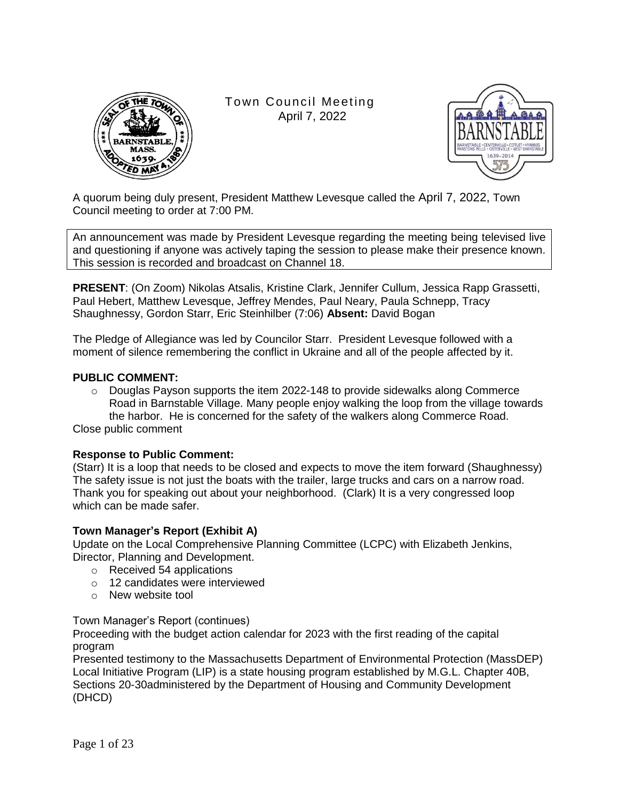

Town Council Meeting April 7, 2022



A quorum being duly present, President Matthew Levesque called the April 7, 2022, Town Council meeting to order at 7:00 PM.

An announcement was made by President Levesque regarding the meeting being televised live and questioning if anyone was actively taping the session to please make their presence known. This session is recorded and broadcast on Channel 18.

**PRESENT**: (On Zoom) Nikolas Atsalis, Kristine Clark, Jennifer Cullum, Jessica Rapp Grassetti, Paul Hebert, Matthew Levesque, Jeffrey Mendes, Paul Neary, Paula Schnepp, Tracy Shaughnessy, Gordon Starr, Eric Steinhilber (7:06) **Absent:** David Bogan

The Pledge of Allegiance was led by Councilor Starr. President Levesque followed with a moment of silence remembering the conflict in Ukraine and all of the people affected by it.

# **PUBLIC COMMENT:**

 $\circ$  Douglas Payson supports the item 2022-148 to provide sidewalks along Commerce Road in Barnstable Village. Many people enjoy walking the loop from the village towards the harbor. He is concerned for the safety of the walkers along Commerce Road.

Close public comment

# **Response to Public Comment:**

(Starr) It is a loop that needs to be closed and expects to move the item forward (Shaughnessy) The safety issue is not just the boats with the trailer, large trucks and cars on a narrow road. Thank you for speaking out about your neighborhood. (Clark) It is a very congressed loop which can be made safer.

#### **Town Manager's Report (Exhibit A)**

Update on the Local Comprehensive Planning Committee (LCPC) with Elizabeth Jenkins, Director, Planning and Development.

- o Received 54 applications
- o 12 candidates were interviewed
- o New website tool

Town Manager's Report (continues)

Proceeding with the budget action calendar for 2023 with the first reading of the capital program

Presented testimony to the Massachusetts Department of Environmental Protection (MassDEP) Local Initiative Program (LIP) is a state housing program established by M.G.L. Chapter 40B, Sections 20-30administered by the Department of Housing and Community Development (DHCD)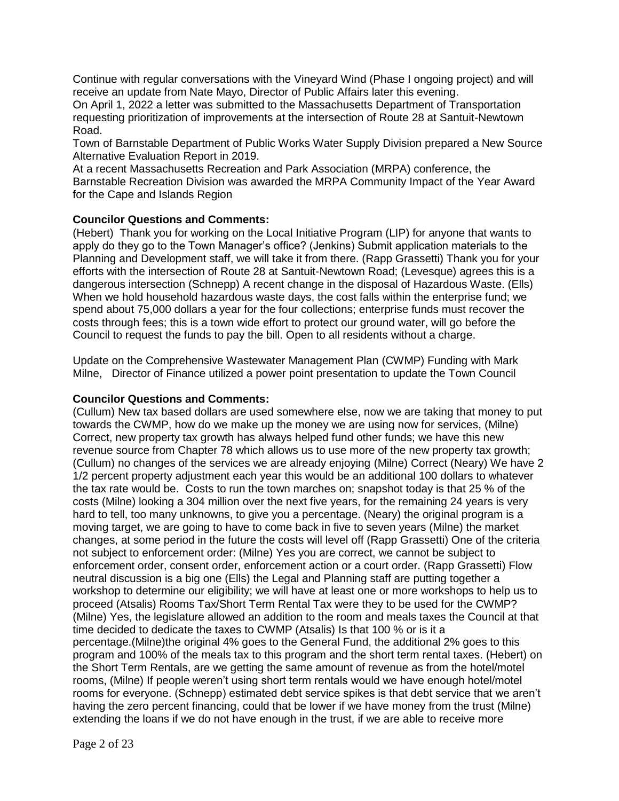Continue with regular conversations with the Vineyard Wind (Phase I ongoing project) and will receive an update from Nate Mayo, Director of Public Affairs later this evening.

On April 1, 2022 a letter was submitted to the Massachusetts Department of Transportation requesting prioritization of improvements at the intersection of Route 28 at Santuit-Newtown Road.

Town of Barnstable Department of Public Works Water Supply Division prepared a New Source Alternative Evaluation Report in 2019.

At a recent Massachusetts Recreation and Park Association (MRPA) conference, the Barnstable Recreation Division was awarded the MRPA Community Impact of the Year Award for the Cape and Islands Region

# **Councilor Questions and Comments:**

(Hebert) Thank you for working on the Local Initiative Program (LIP) for anyone that wants to apply do they go to the Town Manager's office? (Jenkins) Submit application materials to the Planning and Development staff, we will take it from there. (Rapp Grassetti) Thank you for your efforts with the intersection of Route 28 at Santuit-Newtown Road; (Levesque) agrees this is a dangerous intersection (Schnepp) A recent change in the disposal of Hazardous Waste. (Ells) When we hold household hazardous waste days, the cost falls within the enterprise fund; we spend about 75,000 dollars a year for the four collections; enterprise funds must recover the costs through fees; this is a town wide effort to protect our ground water, will go before the Council to request the funds to pay the bill. Open to all residents without a charge.

Update on the Comprehensive Wastewater Management Plan (CWMP) Funding with Mark Milne, Director of Finance utilized a power point presentation to update the Town Council

### **Councilor Questions and Comments:**

(Cullum) New tax based dollars are used somewhere else, now we are taking that money to put towards the CWMP, how do we make up the money we are using now for services, (Milne) Correct, new property tax growth has always helped fund other funds; we have this new revenue source from Chapter 78 which allows us to use more of the new property tax growth; (Cullum) no changes of the services we are already enjoying (Milne) Correct (Neary) We have 2 1/2 percent property adjustment each year this would be an additional 100 dollars to whatever the tax rate would be. Costs to run the town marches on; snapshot today is that 25 % of the costs (Milne) looking a 304 million over the next five years, for the remaining 24 years is very hard to tell, too many unknowns, to give you a percentage. (Neary) the original program is a moving target, we are going to have to come back in five to seven years (Milne) the market changes, at some period in the future the costs will level off (Rapp Grassetti) One of the criteria not subject to enforcement order: (Milne) Yes you are correct, we cannot be subject to enforcement order, consent order, enforcement action or a court order. (Rapp Grassetti) Flow neutral discussion is a big one (Ells) the Legal and Planning staff are putting together a workshop to determine our eligibility; we will have at least one or more workshops to help us to proceed (Atsalis) Rooms Tax/Short Term Rental Tax were they to be used for the CWMP? (Milne) Yes, the legislature allowed an addition to the room and meals taxes the Council at that time decided to dedicate the taxes to CWMP (Atsalis) Is that 100 % or is it a percentage.(Milne)the original 4% goes to the General Fund, the additional 2% goes to this program and 100% of the meals tax to this program and the short term rental taxes. (Hebert) on the Short Term Rentals, are we getting the same amount of revenue as from the hotel/motel rooms, (Milne) If people weren't using short term rentals would we have enough hotel/motel rooms for everyone. (Schnepp) estimated debt service spikes is that debt service that we aren't having the zero percent financing, could that be lower if we have money from the trust (Milne) extending the loans if we do not have enough in the trust, if we are able to receive more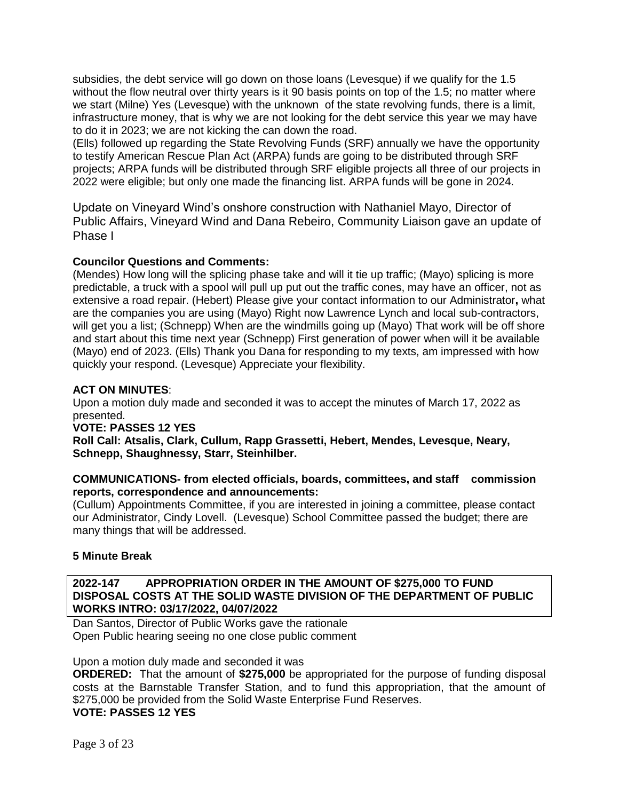subsidies, the debt service will go down on those loans (Levesque) if we qualify for the 1.5 without the flow neutral over thirty years is it 90 basis points on top of the 1.5; no matter where we start (Milne) Yes (Levesque) with the unknown of the state revolving funds, there is a limit, infrastructure money, that is why we are not looking for the debt service this year we may have to do it in 2023; we are not kicking the can down the road.

(Ells) followed up regarding the State Revolving Funds (SRF) annually we have the opportunity to testify American Rescue Plan Act (ARPA) funds are going to be distributed through SRF projects; ARPA funds will be distributed through SRF eligible projects all three of our projects in 2022 were eligible; but only one made the financing list. ARPA funds will be gone in 2024.

Update on Vineyard Wind's onshore construction with Nathaniel Mayo, Director of Public Affairs, Vineyard Wind and Dana Rebeiro, Community Liaison gave an update of Phase I

# **Councilor Questions and Comments:**

(Mendes) How long will the splicing phase take and will it tie up traffic; (Mayo) splicing is more predictable, a truck with a spool will pull up put out the traffic cones, may have an officer, not as extensive a road repair. (Hebert) Please give your contact information to our Administrator**,** what are the companies you are using (Mayo) Right now Lawrence Lynch and local sub-contractors, will get you a list; (Schnepp) When are the windmills going up (Mayo) That work will be off shore and start about this time next year (Schnepp) First generation of power when will it be available (Mayo) end of 2023. (Ells) Thank you Dana for responding to my texts, am impressed with how quickly your respond. (Levesque) Appreciate your flexibility.

# **ACT ON MINUTES**:

Upon a motion duly made and seconded it was to accept the minutes of March 17, 2022 as presented.

# **VOTE: PASSES 12 YES**

**Roll Call: Atsalis, Clark, Cullum, Rapp Grassetti, Hebert, Mendes, Levesque, Neary, Schnepp, Shaughnessy, Starr, Steinhilber.**

# **COMMUNICATIONS- from elected officials, boards, committees, and staff commission reports, correspondence and announcements:**

(Cullum) Appointments Committee, if you are interested in joining a committee, please contact our Administrator, Cindy Lovell. (Levesque) School Committee passed the budget; there are many things that will be addressed.

# **5 Minute Break**

## **2022-147 APPROPRIATION ORDER IN THE AMOUNT OF \$275,000 TO FUND DISPOSAL COSTS AT THE SOLID WASTE DIVISION OF THE DEPARTMENT OF PUBLIC WORKS INTRO: 03/17/2022, 04/07/2022**

Dan Santos, Director of Public Works gave the rationale Open Public hearing seeing no one close public comment

Upon a motion duly made and seconded it was

**ORDERED:** That the amount of **\$275,000** be appropriated for the purpose of funding disposal costs at the Barnstable Transfer Station, and to fund this appropriation, that the amount of \$275,000 be provided from the Solid Waste Enterprise Fund Reserves. **VOTE: PASSES 12 YES**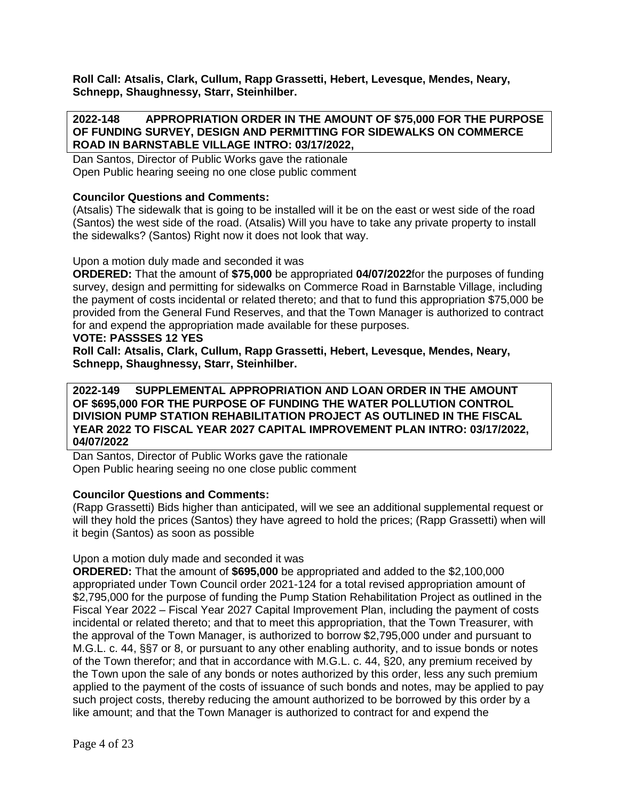**Roll Call: Atsalis, Clark, Cullum, Rapp Grassetti, Hebert, Levesque, Mendes, Neary, Schnepp, Shaughnessy, Starr, Steinhilber.**

#### **2022-148 APPROPRIATION ORDER IN THE AMOUNT OF \$75,000 FOR THE PURPOSE OF FUNDING SURVEY, DESIGN AND PERMITTING FOR SIDEWALKS ON COMMERCE ROAD IN BARNSTABLE VILLAGE INTRO: 03/17/2022,**

Dan Santos, Director of Public Works gave the rationale Open Public hearing seeing no one close public comment

# **Councilor Questions and Comments:**

(Atsalis) The sidewalk that is going to be installed will it be on the east or west side of the road (Santos) the west side of the road. (Atsalis) Will you have to take any private property to install the sidewalks? (Santos) Right now it does not look that way.

#### Upon a motion duly made and seconded it was

**ORDERED:** That the amount of **\$75,000** be appropriated **04/07/2022**for the purposes of funding survey, design and permitting for sidewalks on Commerce Road in Barnstable Village, including the payment of costs incidental or related thereto; and that to fund this appropriation \$75,000 be provided from the General Fund Reserves, and that the Town Manager is authorized to contract for and expend the appropriation made available for these purposes.

#### **VOTE: PASSSES 12 YES**

**Roll Call: Atsalis, Clark, Cullum, Rapp Grassetti, Hebert, Levesque, Mendes, Neary, Schnepp, Shaughnessy, Starr, Steinhilber.**

**2022-149 SUPPLEMENTAL APPROPRIATION AND LOAN ORDER IN THE AMOUNT OF \$695,000 FOR THE PURPOSE OF FUNDING THE WATER POLLUTION CONTROL DIVISION PUMP STATION REHABILITATION PROJECT AS OUTLINED IN THE FISCAL YEAR 2022 TO FISCAL YEAR 2027 CAPITAL IMPROVEMENT PLAN INTRO: 03/17/2022, 04/07/2022**

Dan Santos, Director of Public Works gave the rationale Open Public hearing seeing no one close public comment

# **Councilor Questions and Comments:**

(Rapp Grassetti) Bids higher than anticipated, will we see an additional supplemental request or will they hold the prices (Santos) they have agreed to hold the prices; (Rapp Grassetti) when will it begin (Santos) as soon as possible

#### Upon a motion duly made and seconded it was

**ORDERED:** That the amount of **\$695,000** be appropriated and added to the \$2,100,000 appropriated under Town Council order 2021-124 for a total revised appropriation amount of \$2,795,000 for the purpose of funding the Pump Station Rehabilitation Project as outlined in the Fiscal Year 2022 – Fiscal Year 2027 Capital Improvement Plan, including the payment of costs incidental or related thereto; and that to meet this appropriation, that the Town Treasurer, with the approval of the Town Manager, is authorized to borrow \$2,795,000 under and pursuant to M.G.L. c. 44, §§7 or 8, or pursuant to any other enabling authority, and to issue bonds or notes of the Town therefor; and that in accordance with M.G.L. c. 44, §20, any premium received by the Town upon the sale of any bonds or notes authorized by this order, less any such premium applied to the payment of the costs of issuance of such bonds and notes, may be applied to pay such project costs, thereby reducing the amount authorized to be borrowed by this order by a like amount; and that the Town Manager is authorized to contract for and expend the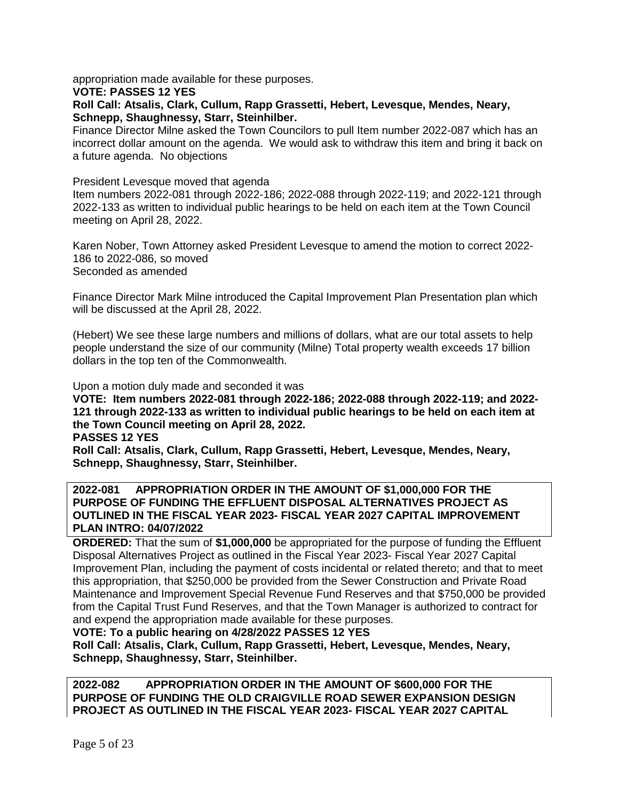appropriation made available for these purposes.

#### **VOTE: PASSES 12 YES**

**Roll Call: Atsalis, Clark, Cullum, Rapp Grassetti, Hebert, Levesque, Mendes, Neary, Schnepp, Shaughnessy, Starr, Steinhilber.**

Finance Director Milne asked the Town Councilors to pull Item number 2022-087 which has an incorrect dollar amount on the agenda. We would ask to withdraw this item and bring it back on a future agenda. No objections

#### President Levesque moved that agenda

Item numbers 2022-081 through 2022-186; 2022-088 through 2022-119; and 2022-121 through 2022-133 as written to individual public hearings to be held on each item at the Town Council meeting on April 28, 2022.

Karen Nober, Town Attorney asked President Levesque to amend the motion to correct 2022- 186 to 2022-086, so moved Seconded as amended

Finance Director Mark Milne introduced the Capital Improvement Plan Presentation plan which will be discussed at the April 28, 2022.

(Hebert) We see these large numbers and millions of dollars, what are our total assets to help people understand the size of our community (Milne) Total property wealth exceeds 17 billion dollars in the top ten of the Commonwealth.

Upon a motion duly made and seconded it was

**VOTE: Item numbers 2022-081 through 2022-186; 2022-088 through 2022-119; and 2022- 121 through 2022-133 as written to individual public hearings to be held on each item at the Town Council meeting on April 28, 2022.**

**PASSES 12 YES**

**Roll Call: Atsalis, Clark, Cullum, Rapp Grassetti, Hebert, Levesque, Mendes, Neary, Schnepp, Shaughnessy, Starr, Steinhilber.**

### **2022-081 APPROPRIATION ORDER IN THE AMOUNT OF \$1,000,000 FOR THE PURPOSE OF FUNDING THE EFFLUENT DISPOSAL ALTERNATIVES PROJECT AS OUTLINED IN THE FISCAL YEAR 2023- FISCAL YEAR 2027 CAPITAL IMPROVEMENT PLAN INTRO: 04/07/2022**

**ORDERED:** That the sum of **\$1,000,000** be appropriated for the purpose of funding the Effluent Disposal Alternatives Project as outlined in the Fiscal Year 2023- Fiscal Year 2027 Capital Improvement Plan, including the payment of costs incidental or related thereto; and that to meet this appropriation, that \$250,000 be provided from the Sewer Construction and Private Road Maintenance and Improvement Special Revenue Fund Reserves and that \$750,000 be provided from the Capital Trust Fund Reserves, and that the Town Manager is authorized to contract for and expend the appropriation made available for these purposes.

**VOTE: To a public hearing on 4/28/2022 PASSES 12 YES**

**Roll Call: Atsalis, Clark, Cullum, Rapp Grassetti, Hebert, Levesque, Mendes, Neary, Schnepp, Shaughnessy, Starr, Steinhilber.**

**2022-082 APPROPRIATION ORDER IN THE AMOUNT OF \$600,000 FOR THE PURPOSE OF FUNDING THE OLD CRAIGVILLE ROAD SEWER EXPANSION DESIGN PROJECT AS OUTLINED IN THE FISCAL YEAR 2023- FISCAL YEAR 2027 CAPITAL**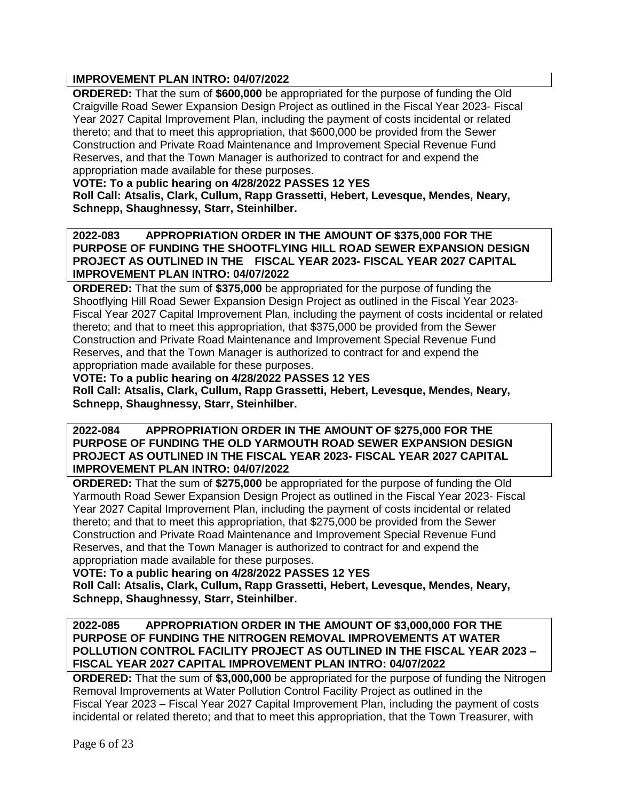# **IMPROVEMENT PLAN INTRO: 04/07/2022**

**ORDERED:** That the sum of **\$600,000** be appropriated for the purpose of funding the Old Craigville Road Sewer Expansion Design Project as outlined in the Fiscal Year 2023- Fiscal Year 2027 Capital Improvement Plan, including the payment of costs incidental or related thereto; and that to meet this appropriation, that \$600,000 be provided from the Sewer Construction and Private Road Maintenance and Improvement Special Revenue Fund Reserves, and that the Town Manager is authorized to contract for and expend the appropriation made available for these purposes.

# **VOTE: To a public hearing on 4/28/2022 PASSES 12 YES**

**Roll Call: Atsalis, Clark, Cullum, Rapp Grassetti, Hebert, Levesque, Mendes, Neary, Schnepp, Shaughnessy, Starr, Steinhilber.**

## **2022-083 APPROPRIATION ORDER IN THE AMOUNT OF \$375,000 FOR THE PURPOSE OF FUNDING THE SHOOTFLYING HILL ROAD SEWER EXPANSION DESIGN PROJECT AS OUTLINED IN THE FISCAL YEAR 2023- FISCAL YEAR 2027 CAPITAL IMPROVEMENT PLAN INTRO: 04/07/2022**

**ORDERED:** That the sum of **\$375,000** be appropriated for the purpose of funding the Shootflying Hill Road Sewer Expansion Design Project as outlined in the Fiscal Year 2023- Fiscal Year 2027 Capital Improvement Plan, including the payment of costs incidental or related thereto; and that to meet this appropriation, that \$375,000 be provided from the Sewer Construction and Private Road Maintenance and Improvement Special Revenue Fund Reserves, and that the Town Manager is authorized to contract for and expend the appropriation made available for these purposes.

# **VOTE: To a public hearing on 4/28/2022 PASSES 12 YES**

**Roll Call: Atsalis, Clark, Cullum, Rapp Grassetti, Hebert, Levesque, Mendes, Neary, Schnepp, Shaughnessy, Starr, Steinhilber.**

**2022-084 APPROPRIATION ORDER IN THE AMOUNT OF \$275,000 FOR THE PURPOSE OF FUNDING THE OLD YARMOUTH ROAD SEWER EXPANSION DESIGN PROJECT AS OUTLINED IN THE FISCAL YEAR 2023- FISCAL YEAR 2027 CAPITAL IMPROVEMENT PLAN INTRO: 04/07/2022**

**ORDERED:** That the sum of **\$275,000** be appropriated for the purpose of funding the Old Yarmouth Road Sewer Expansion Design Project as outlined in the Fiscal Year 2023- Fiscal Year 2027 Capital Improvement Plan, including the payment of costs incidental or related thereto; and that to meet this appropriation, that \$275,000 be provided from the Sewer Construction and Private Road Maintenance and Improvement Special Revenue Fund Reserves, and that the Town Manager is authorized to contract for and expend the appropriation made available for these purposes.

# **VOTE: To a public hearing on 4/28/2022 PASSES 12 YES**

**Roll Call: Atsalis, Clark, Cullum, Rapp Grassetti, Hebert, Levesque, Mendes, Neary, Schnepp, Shaughnessy, Starr, Steinhilber.**

## **2022-085 APPROPRIATION ORDER IN THE AMOUNT OF \$3,000,000 FOR THE PURPOSE OF FUNDING THE NITROGEN REMOVAL IMPROVEMENTS AT WATER POLLUTION CONTROL FACILITY PROJECT AS OUTLINED IN THE FISCAL YEAR 2023 – FISCAL YEAR 2027 CAPITAL IMPROVEMENT PLAN INTRO: 04/07/2022**

**ORDERED:** That the sum of **\$3,000,000** be appropriated for the purpose of funding the Nitrogen Removal Improvements at Water Pollution Control Facility Project as outlined in the Fiscal Year 2023 – Fiscal Year 2027 Capital Improvement Plan, including the payment of costs incidental or related thereto; and that to meet this appropriation, that the Town Treasurer, with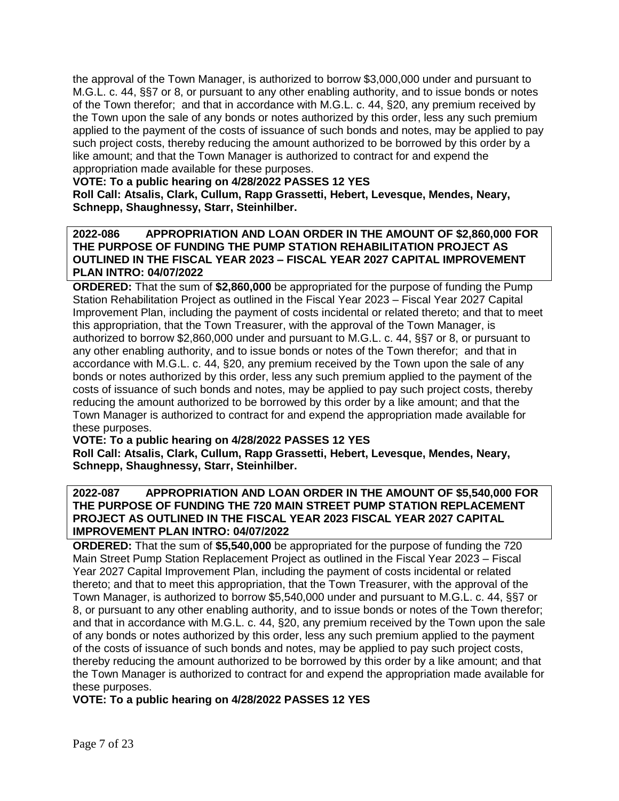the approval of the Town Manager, is authorized to borrow \$3,000,000 under and pursuant to M.G.L. c. 44, §§7 or 8, or pursuant to any other enabling authority, and to issue bonds or notes of the Town therefor; and that in accordance with M.G.L. c. 44, §20, any premium received by the Town upon the sale of any bonds or notes authorized by this order, less any such premium applied to the payment of the costs of issuance of such bonds and notes, may be applied to pay such project costs, thereby reducing the amount authorized to be borrowed by this order by a like amount; and that the Town Manager is authorized to contract for and expend the appropriation made available for these purposes.

# **VOTE: To a public hearing on 4/28/2022 PASSES 12 YES**

**Roll Call: Atsalis, Clark, Cullum, Rapp Grassetti, Hebert, Levesque, Mendes, Neary, Schnepp, Shaughnessy, Starr, Steinhilber.**

## **2022-086 APPROPRIATION AND LOAN ORDER IN THE AMOUNT OF \$2,860,000 FOR THE PURPOSE OF FUNDING THE PUMP STATION REHABILITATION PROJECT AS OUTLINED IN THE FISCAL YEAR 2023 – FISCAL YEAR 2027 CAPITAL IMPROVEMENT PLAN INTRO: 04/07/2022**

**ORDERED:** That the sum of **\$2,860,000** be appropriated for the purpose of funding the Pump Station Rehabilitation Project as outlined in the Fiscal Year 2023 – Fiscal Year 2027 Capital Improvement Plan, including the payment of costs incidental or related thereto; and that to meet this appropriation, that the Town Treasurer, with the approval of the Town Manager, is authorized to borrow \$2,860,000 under and pursuant to M.G.L. c. 44, §§7 or 8, or pursuant to any other enabling authority, and to issue bonds or notes of the Town therefor; and that in accordance with M.G.L. c. 44, §20, any premium received by the Town upon the sale of any bonds or notes authorized by this order, less any such premium applied to the payment of the costs of issuance of such bonds and notes, may be applied to pay such project costs, thereby reducing the amount authorized to be borrowed by this order by a like amount; and that the Town Manager is authorized to contract for and expend the appropriation made available for these purposes.

# **VOTE: To a public hearing on 4/28/2022 PASSES 12 YES**

**Roll Call: Atsalis, Clark, Cullum, Rapp Grassetti, Hebert, Levesque, Mendes, Neary, Schnepp, Shaughnessy, Starr, Steinhilber.**

## **2022-087 APPROPRIATION AND LOAN ORDER IN THE AMOUNT OF \$5,540,000 FOR THE PURPOSE OF FUNDING THE 720 MAIN STREET PUMP STATION REPLACEMENT PROJECT AS OUTLINED IN THE FISCAL YEAR 2023 FISCAL YEAR 2027 CAPITAL IMPROVEMENT PLAN INTRO: 04/07/2022**

**ORDERED:** That the sum of **\$5,540,000** be appropriated for the purpose of funding the 720 Main Street Pump Station Replacement Project as outlined in the Fiscal Year 2023 – Fiscal Year 2027 Capital Improvement Plan, including the payment of costs incidental or related thereto; and that to meet this appropriation, that the Town Treasurer, with the approval of the Town Manager, is authorized to borrow \$5,540,000 under and pursuant to M.G.L. c. 44, §§7 or 8, or pursuant to any other enabling authority, and to issue bonds or notes of the Town therefor; and that in accordance with M.G.L. c. 44, §20, any premium received by the Town upon the sale of any bonds or notes authorized by this order, less any such premium applied to the payment of the costs of issuance of such bonds and notes, may be applied to pay such project costs, thereby reducing the amount authorized to be borrowed by this order by a like amount; and that the Town Manager is authorized to contract for and expend the appropriation made available for these purposes.

**VOTE: To a public hearing on 4/28/2022 PASSES 12 YES**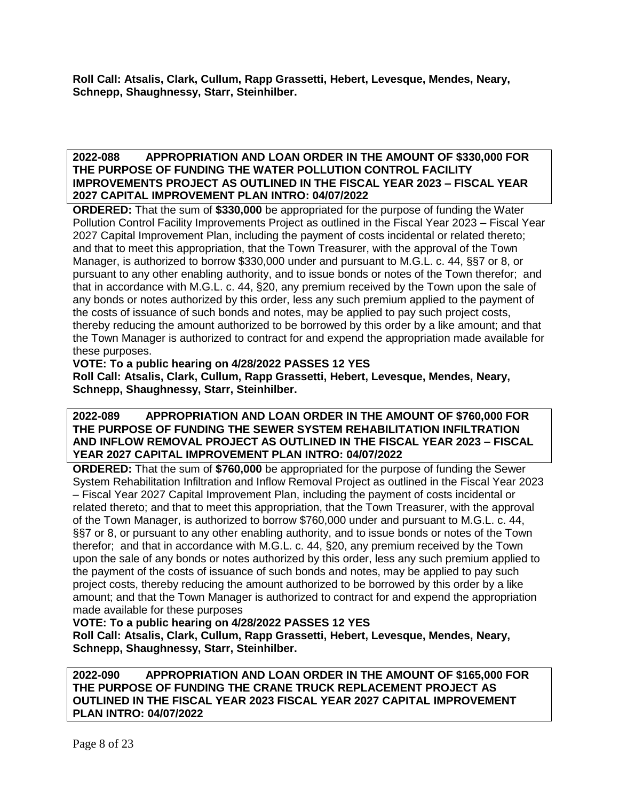**Roll Call: Atsalis, Clark, Cullum, Rapp Grassetti, Hebert, Levesque, Mendes, Neary, Schnepp, Shaughnessy, Starr, Steinhilber.**

### **2022-088 APPROPRIATION AND LOAN ORDER IN THE AMOUNT OF \$330,000 FOR THE PURPOSE OF FUNDING THE WATER POLLUTION CONTROL FACILITY IMPROVEMENTS PROJECT AS OUTLINED IN THE FISCAL YEAR 2023 – FISCAL YEAR 2027 CAPITAL IMPROVEMENT PLAN INTRO: 04/07/2022**

**ORDERED:** That the sum of **\$330,000** be appropriated for the purpose of funding the Water Pollution Control Facility Improvements Project as outlined in the Fiscal Year 2023 – Fiscal Year 2027 Capital Improvement Plan, including the payment of costs incidental or related thereto; and that to meet this appropriation, that the Town Treasurer, with the approval of the Town Manager, is authorized to borrow \$330,000 under and pursuant to M.G.L. c. 44, §§7 or 8, or pursuant to any other enabling authority, and to issue bonds or notes of the Town therefor; and that in accordance with M.G.L. c. 44, §20, any premium received by the Town upon the sale of any bonds or notes authorized by this order, less any such premium applied to the payment of the costs of issuance of such bonds and notes, may be applied to pay such project costs, thereby reducing the amount authorized to be borrowed by this order by a like amount; and that the Town Manager is authorized to contract for and expend the appropriation made available for these purposes.

**VOTE: To a public hearing on 4/28/2022 PASSES 12 YES**

**Roll Call: Atsalis, Clark, Cullum, Rapp Grassetti, Hebert, Levesque, Mendes, Neary, Schnepp, Shaughnessy, Starr, Steinhilber.**

# **2022-089 APPROPRIATION AND LOAN ORDER IN THE AMOUNT OF \$760,000 FOR THE PURPOSE OF FUNDING THE SEWER SYSTEM REHABILITATION INFILTRATION AND INFLOW REMOVAL PROJECT AS OUTLINED IN THE FISCAL YEAR 2023 – FISCAL YEAR 2027 CAPITAL IMPROVEMENT PLAN INTRO: 04/07/2022**

**ORDERED:** That the sum of **\$760,000** be appropriated for the purpose of funding the Sewer System Rehabilitation Infiltration and Inflow Removal Project as outlined in the Fiscal Year 2023 – Fiscal Year 2027 Capital Improvement Plan, including the payment of costs incidental or related thereto; and that to meet this appropriation, that the Town Treasurer, with the approval of the Town Manager, is authorized to borrow \$760,000 under and pursuant to M.G.L. c. 44, §§7 or 8, or pursuant to any other enabling authority, and to issue bonds or notes of the Town therefor; and that in accordance with M.G.L. c. 44, §20, any premium received by the Town upon the sale of any bonds or notes authorized by this order, less any such premium applied to the payment of the costs of issuance of such bonds and notes, may be applied to pay such project costs, thereby reducing the amount authorized to be borrowed by this order by a like amount; and that the Town Manager is authorized to contract for and expend the appropriation made available for these purposes

**VOTE: To a public hearing on 4/28/2022 PASSES 12 YES**

**Roll Call: Atsalis, Clark, Cullum, Rapp Grassetti, Hebert, Levesque, Mendes, Neary, Schnepp, Shaughnessy, Starr, Steinhilber.**

**2022-090 APPROPRIATION AND LOAN ORDER IN THE AMOUNT OF \$165,000 FOR THE PURPOSE OF FUNDING THE CRANE TRUCK REPLACEMENT PROJECT AS OUTLINED IN THE FISCAL YEAR 2023 FISCAL YEAR 2027 CAPITAL IMPROVEMENT PLAN INTRO: 04/07/2022**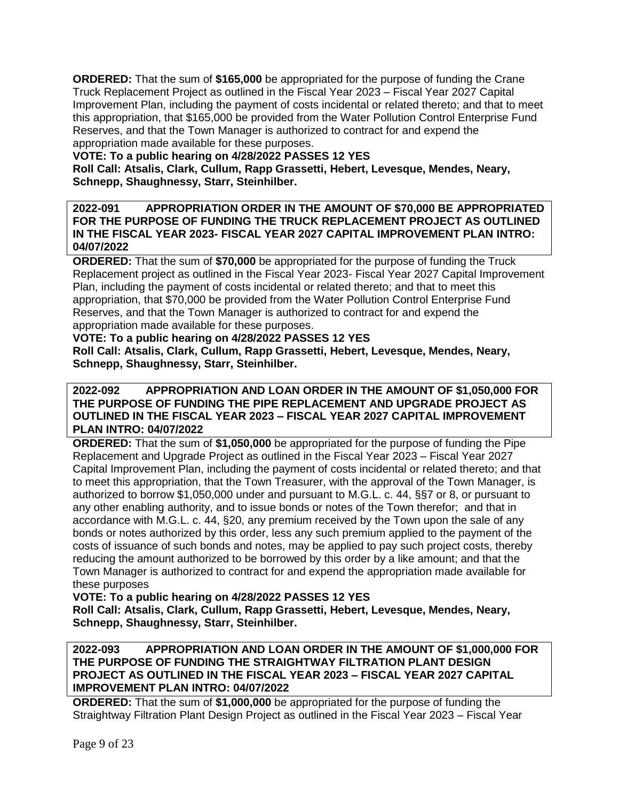**ORDERED:** That the sum of **\$165,000** be appropriated for the purpose of funding the Crane Truck Replacement Project as outlined in the Fiscal Year 2023 – Fiscal Year 2027 Capital Improvement Plan, including the payment of costs incidental or related thereto; and that to meet this appropriation, that \$165,000 be provided from the Water Pollution Control Enterprise Fund Reserves, and that the Town Manager is authorized to contract for and expend the appropriation made available for these purposes.

## **VOTE: To a public hearing on 4/28/2022 PASSES 12 YES**

**Roll Call: Atsalis, Clark, Cullum, Rapp Grassetti, Hebert, Levesque, Mendes, Neary, Schnepp, Shaughnessy, Starr, Steinhilber.**

**2022-091 APPROPRIATION ORDER IN THE AMOUNT OF \$70,000 BE APPROPRIATED FOR THE PURPOSE OF FUNDING THE TRUCK REPLACEMENT PROJECT AS OUTLINED IN THE FISCAL YEAR 2023- FISCAL YEAR 2027 CAPITAL IMPROVEMENT PLAN INTRO: 04/07/2022**

**ORDERED:** That the sum of **\$70,000** be appropriated for the purpose of funding the Truck Replacement project as outlined in the Fiscal Year 2023- Fiscal Year 2027 Capital Improvement Plan, including the payment of costs incidental or related thereto; and that to meet this appropriation, that \$70,000 be provided from the Water Pollution Control Enterprise Fund Reserves, and that the Town Manager is authorized to contract for and expend the appropriation made available for these purposes.

### **VOTE: To a public hearing on 4/28/2022 PASSES 12 YES**

**Roll Call: Atsalis, Clark, Cullum, Rapp Grassetti, Hebert, Levesque, Mendes, Neary, Schnepp, Shaughnessy, Starr, Steinhilber.**

### **2022-092 APPROPRIATION AND LOAN ORDER IN THE AMOUNT OF \$1,050,000 FOR THE PURPOSE OF FUNDING THE PIPE REPLACEMENT AND UPGRADE PROJECT AS OUTLINED IN THE FISCAL YEAR 2023 – FISCAL YEAR 2027 CAPITAL IMPROVEMENT PLAN INTRO: 04/07/2022**

**ORDERED:** That the sum of **\$1,050,000** be appropriated for the purpose of funding the Pipe Replacement and Upgrade Project as outlined in the Fiscal Year 2023 – Fiscal Year 2027 Capital Improvement Plan, including the payment of costs incidental or related thereto; and that to meet this appropriation, that the Town Treasurer, with the approval of the Town Manager, is authorized to borrow \$1,050,000 under and pursuant to M.G.L. c. 44, §§7 or 8, or pursuant to any other enabling authority, and to issue bonds or notes of the Town therefor; and that in accordance with M.G.L. c. 44, §20, any premium received by the Town upon the sale of any bonds or notes authorized by this order, less any such premium applied to the payment of the costs of issuance of such bonds and notes, may be applied to pay such project costs, thereby reducing the amount authorized to be borrowed by this order by a like amount; and that the Town Manager is authorized to contract for and expend the appropriation made available for these purposes

# **VOTE: To a public hearing on 4/28/2022 PASSES 12 YES**

**Roll Call: Atsalis, Clark, Cullum, Rapp Grassetti, Hebert, Levesque, Mendes, Neary, Schnepp, Shaughnessy, Starr, Steinhilber.**

### **2022-093 APPROPRIATION AND LOAN ORDER IN THE AMOUNT OF \$1,000,000 FOR THE PURPOSE OF FUNDING THE STRAIGHTWAY FILTRATION PLANT DESIGN PROJECT AS OUTLINED IN THE FISCAL YEAR 2023 – FISCAL YEAR 2027 CAPITAL IMPROVEMENT PLAN INTRO: 04/07/2022**

**ORDERED:** That the sum of **\$1,000,000** be appropriated for the purpose of funding the Straightway Filtration Plant Design Project as outlined in the Fiscal Year 2023 – Fiscal Year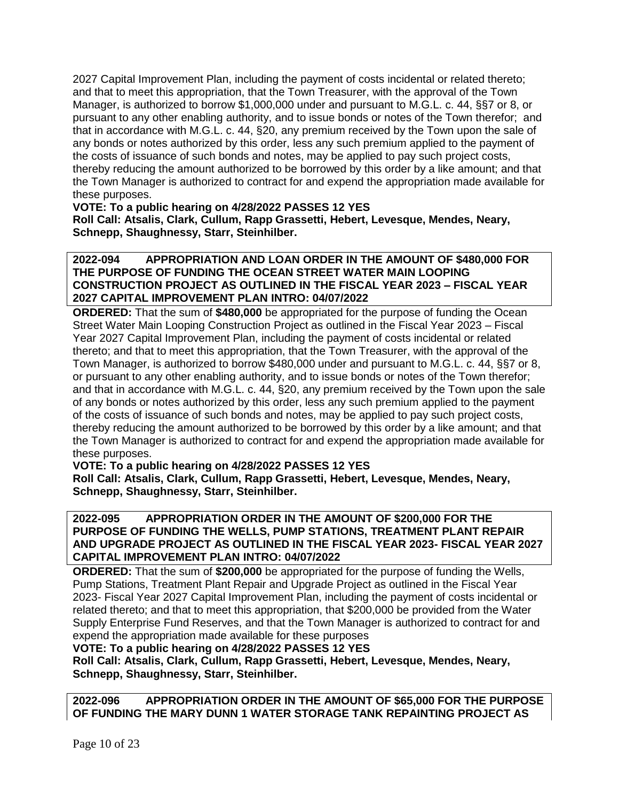2027 Capital Improvement Plan, including the payment of costs incidental or related thereto; and that to meet this appropriation, that the Town Treasurer, with the approval of the Town Manager, is authorized to borrow \$1,000,000 under and pursuant to M.G.L. c. 44, §§7 or 8, or pursuant to any other enabling authority, and to issue bonds or notes of the Town therefor; and that in accordance with M.G.L. c. 44, §20, any premium received by the Town upon the sale of any bonds or notes authorized by this order, less any such premium applied to the payment of the costs of issuance of such bonds and notes, may be applied to pay such project costs, thereby reducing the amount authorized to be borrowed by this order by a like amount; and that the Town Manager is authorized to contract for and expend the appropriation made available for these purposes.

**VOTE: To a public hearing on 4/28/2022 PASSES 12 YES Roll Call: Atsalis, Clark, Cullum, Rapp Grassetti, Hebert, Levesque, Mendes, Neary, Schnepp, Shaughnessy, Starr, Steinhilber.**

**2022-094 APPROPRIATION AND LOAN ORDER IN THE AMOUNT OF \$480,000 FOR THE PURPOSE OF FUNDING THE OCEAN STREET WATER MAIN LOOPING CONSTRUCTION PROJECT AS OUTLINED IN THE FISCAL YEAR 2023 – FISCAL YEAR 2027 CAPITAL IMPROVEMENT PLAN INTRO: 04/07/2022**

**ORDERED:** That the sum of **\$480,000** be appropriated for the purpose of funding the Ocean Street Water Main Looping Construction Project as outlined in the Fiscal Year 2023 – Fiscal Year 2027 Capital Improvement Plan, including the payment of costs incidental or related thereto; and that to meet this appropriation, that the Town Treasurer, with the approval of the Town Manager, is authorized to borrow \$480,000 under and pursuant to M.G.L. c. 44, §§7 or 8, or pursuant to any other enabling authority, and to issue bonds or notes of the Town therefor; and that in accordance with M.G.L. c. 44, §20, any premium received by the Town upon the sale of any bonds or notes authorized by this order, less any such premium applied to the payment of the costs of issuance of such bonds and notes, may be applied to pay such project costs, thereby reducing the amount authorized to be borrowed by this order by a like amount; and that the Town Manager is authorized to contract for and expend the appropriation made available for these purposes.

#### **VOTE: To a public hearing on 4/28/2022 PASSES 12 YES**

**Roll Call: Atsalis, Clark, Cullum, Rapp Grassetti, Hebert, Levesque, Mendes, Neary, Schnepp, Shaughnessy, Starr, Steinhilber.**

### **2022-095 APPROPRIATION ORDER IN THE AMOUNT OF \$200,000 FOR THE PURPOSE OF FUNDING THE WELLS, PUMP STATIONS, TREATMENT PLANT REPAIR AND UPGRADE PROJECT AS OUTLINED IN THE FISCAL YEAR 2023- FISCAL YEAR 2027 CAPITAL IMPROVEMENT PLAN INTRO: 04/07/2022**

**ORDERED:** That the sum of **\$200,000** be appropriated for the purpose of funding the Wells, Pump Stations, Treatment Plant Repair and Upgrade Project as outlined in the Fiscal Year 2023- Fiscal Year 2027 Capital Improvement Plan, including the payment of costs incidental or related thereto; and that to meet this appropriation, that \$200,000 be provided from the Water Supply Enterprise Fund Reserves, and that the Town Manager is authorized to contract for and expend the appropriation made available for these purposes

**VOTE: To a public hearing on 4/28/2022 PASSES 12 YES**

**Roll Call: Atsalis, Clark, Cullum, Rapp Grassetti, Hebert, Levesque, Mendes, Neary, Schnepp, Shaughnessy, Starr, Steinhilber.**

**2022-096 APPROPRIATION ORDER IN THE AMOUNT OF \$65,000 FOR THE PURPOSE OF FUNDING THE MARY DUNN 1 WATER STORAGE TANK REPAINTING PROJECT AS**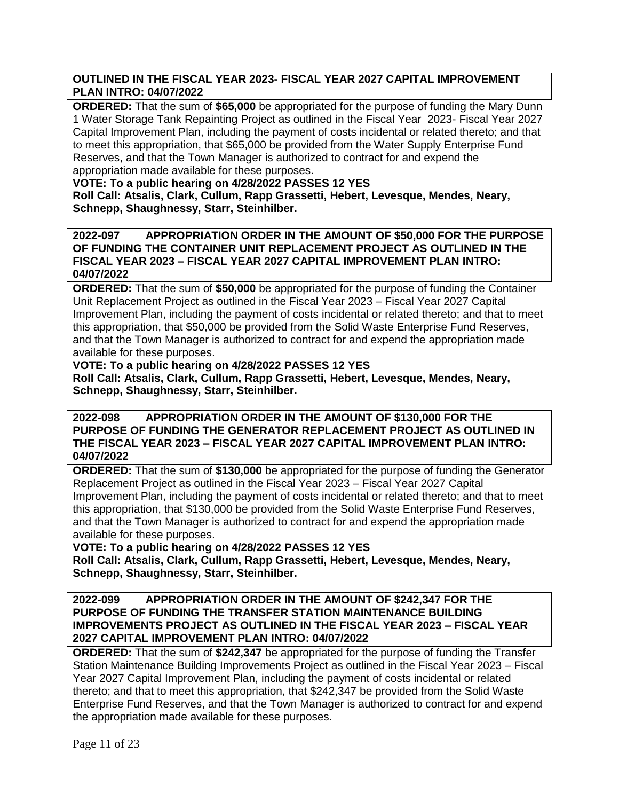# **OUTLINED IN THE FISCAL YEAR 2023- FISCAL YEAR 2027 CAPITAL IMPROVEMENT PLAN INTRO: 04/07/2022**

**ORDERED:** That the sum of **\$65,000** be appropriated for the purpose of funding the Mary Dunn 1 Water Storage Tank Repainting Project as outlined in the Fiscal Year 2023- Fiscal Year 2027 Capital Improvement Plan, including the payment of costs incidental or related thereto; and that to meet this appropriation, that \$65,000 be provided from the Water Supply Enterprise Fund Reserves, and that the Town Manager is authorized to contract for and expend the appropriation made available for these purposes.

# **VOTE: To a public hearing on 4/28/2022 PASSES 12 YES**

**Roll Call: Atsalis, Clark, Cullum, Rapp Grassetti, Hebert, Levesque, Mendes, Neary, Schnepp, Shaughnessy, Starr, Steinhilber.**

### **2022-097 APPROPRIATION ORDER IN THE AMOUNT OF \$50,000 FOR THE PURPOSE OF FUNDING THE CONTAINER UNIT REPLACEMENT PROJECT AS OUTLINED IN THE FISCAL YEAR 2023 – FISCAL YEAR 2027 CAPITAL IMPROVEMENT PLAN INTRO: 04/07/2022**

**ORDERED:** That the sum of **\$50,000** be appropriated for the purpose of funding the Container Unit Replacement Project as outlined in the Fiscal Year 2023 – Fiscal Year 2027 Capital Improvement Plan, including the payment of costs incidental or related thereto; and that to meet this appropriation, that \$50,000 be provided from the Solid Waste Enterprise Fund Reserves, and that the Town Manager is authorized to contract for and expend the appropriation made available for these purposes.

# **VOTE: To a public hearing on 4/28/2022 PASSES 12 YES**

**Roll Call: Atsalis, Clark, Cullum, Rapp Grassetti, Hebert, Levesque, Mendes, Neary, Schnepp, Shaughnessy, Starr, Steinhilber.**

**2022-098 APPROPRIATION ORDER IN THE AMOUNT OF \$130,000 FOR THE PURPOSE OF FUNDING THE GENERATOR REPLACEMENT PROJECT AS OUTLINED IN THE FISCAL YEAR 2023 – FISCAL YEAR 2027 CAPITAL IMPROVEMENT PLAN INTRO: 04/07/2022**

**ORDERED:** That the sum of **\$130,000** be appropriated for the purpose of funding the Generator Replacement Project as outlined in the Fiscal Year 2023 – Fiscal Year 2027 Capital Improvement Plan, including the payment of costs incidental or related thereto; and that to meet this appropriation, that \$130,000 be provided from the Solid Waste Enterprise Fund Reserves, and that the Town Manager is authorized to contract for and expend the appropriation made available for these purposes.

**VOTE: To a public hearing on 4/28/2022 PASSES 12 YES**

**Roll Call: Atsalis, Clark, Cullum, Rapp Grassetti, Hebert, Levesque, Mendes, Neary, Schnepp, Shaughnessy, Starr, Steinhilber.**

# **2022-099 APPROPRIATION ORDER IN THE AMOUNT OF \$242,347 FOR THE PURPOSE OF FUNDING THE TRANSFER STATION MAINTENANCE BUILDING IMPROVEMENTS PROJECT AS OUTLINED IN THE FISCAL YEAR 2023 – FISCAL YEAR 2027 CAPITAL IMPROVEMENT PLAN INTRO: 04/07/2022**

**ORDERED:** That the sum of **\$242,347** be appropriated for the purpose of funding the Transfer Station Maintenance Building Improvements Project as outlined in the Fiscal Year 2023 – Fiscal Year 2027 Capital Improvement Plan, including the payment of costs incidental or related thereto; and that to meet this appropriation, that \$242,347 be provided from the Solid Waste Enterprise Fund Reserves, and that the Town Manager is authorized to contract for and expend the appropriation made available for these purposes.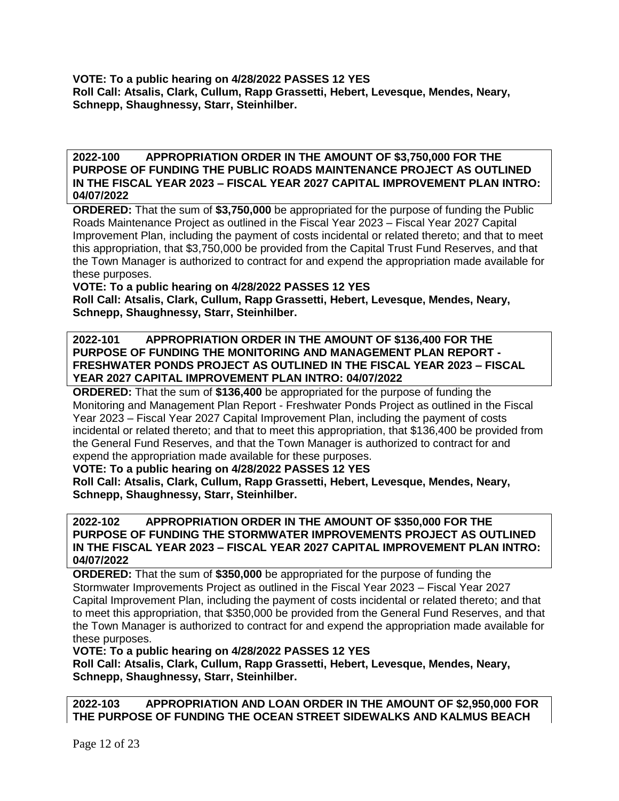**VOTE: To a public hearing on 4/28/2022 PASSES 12 YES Roll Call: Atsalis, Clark, Cullum, Rapp Grassetti, Hebert, Levesque, Mendes, Neary, Schnepp, Shaughnessy, Starr, Steinhilber.**

### **2022-100 APPROPRIATION ORDER IN THE AMOUNT OF \$3,750,000 FOR THE PURPOSE OF FUNDING THE PUBLIC ROADS MAINTENANCE PROJECT AS OUTLINED IN THE FISCAL YEAR 2023 – FISCAL YEAR 2027 CAPITAL IMPROVEMENT PLAN INTRO: 04/07/2022**

**ORDERED:** That the sum of **\$3,750,000** be appropriated for the purpose of funding the Public Roads Maintenance Project as outlined in the Fiscal Year 2023 – Fiscal Year 2027 Capital Improvement Plan, including the payment of costs incidental or related thereto; and that to meet this appropriation, that \$3,750,000 be provided from the Capital Trust Fund Reserves, and that the Town Manager is authorized to contract for and expend the appropriation made available for these purposes.

# **VOTE: To a public hearing on 4/28/2022 PASSES 12 YES**

**Roll Call: Atsalis, Clark, Cullum, Rapp Grassetti, Hebert, Levesque, Mendes, Neary, Schnepp, Shaughnessy, Starr, Steinhilber.**

# **2022-101 APPROPRIATION ORDER IN THE AMOUNT OF \$136,400 FOR THE PURPOSE OF FUNDING THE MONITORING AND MANAGEMENT PLAN REPORT - FRESHWATER PONDS PROJECT AS OUTLINED IN THE FISCAL YEAR 2023 – FISCAL YEAR 2027 CAPITAL IMPROVEMENT PLAN INTRO: 04/07/2022**

**ORDERED:** That the sum of **\$136,400** be appropriated for the purpose of funding the Monitoring and Management Plan Report - Freshwater Ponds Project as outlined in the Fiscal Year 2023 – Fiscal Year 2027 Capital Improvement Plan, including the payment of costs incidental or related thereto; and that to meet this appropriation, that \$136,400 be provided from the General Fund Reserves, and that the Town Manager is authorized to contract for and expend the appropriation made available for these purposes.

# **VOTE: To a public hearing on 4/28/2022 PASSES 12 YES**

**Roll Call: Atsalis, Clark, Cullum, Rapp Grassetti, Hebert, Levesque, Mendes, Neary, Schnepp, Shaughnessy, Starr, Steinhilber.**

### **2022-102 APPROPRIATION ORDER IN THE AMOUNT OF \$350,000 FOR THE PURPOSE OF FUNDING THE STORMWATER IMPROVEMENTS PROJECT AS OUTLINED IN THE FISCAL YEAR 2023 – FISCAL YEAR 2027 CAPITAL IMPROVEMENT PLAN INTRO: 04/07/2022**

**ORDERED:** That the sum of **\$350,000** be appropriated for the purpose of funding the Stormwater Improvements Project as outlined in the Fiscal Year 2023 – Fiscal Year 2027 Capital Improvement Plan, including the payment of costs incidental or related thereto; and that to meet this appropriation, that \$350,000 be provided from the General Fund Reserves, and that the Town Manager is authorized to contract for and expend the appropriation made available for these purposes.

**VOTE: To a public hearing on 4/28/2022 PASSES 12 YES Roll Call: Atsalis, Clark, Cullum, Rapp Grassetti, Hebert, Levesque, Mendes, Neary, Schnepp, Shaughnessy, Starr, Steinhilber.**

**2022-103 APPROPRIATION AND LOAN ORDER IN THE AMOUNT OF \$2,950,000 FOR THE PURPOSE OF FUNDING THE OCEAN STREET SIDEWALKS AND KALMUS BEACH**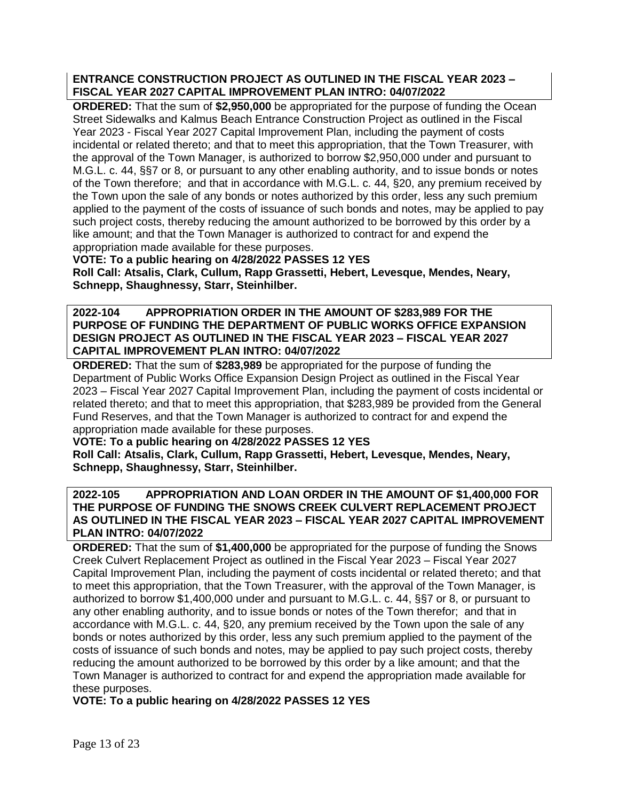# **ENTRANCE CONSTRUCTION PROJECT AS OUTLINED IN THE FISCAL YEAR 2023 – FISCAL YEAR 2027 CAPITAL IMPROVEMENT PLAN INTRO: 04/07/2022**

**ORDERED:** That the sum of **\$2,950,000** be appropriated for the purpose of funding the Ocean Street Sidewalks and Kalmus Beach Entrance Construction Project as outlined in the Fiscal Year 2023 - Fiscal Year 2027 Capital Improvement Plan, including the payment of costs incidental or related thereto; and that to meet this appropriation, that the Town Treasurer, with the approval of the Town Manager, is authorized to borrow \$2,950,000 under and pursuant to M.G.L. c. 44, §§7 or 8, or pursuant to any other enabling authority, and to issue bonds or notes of the Town therefore; and that in accordance with M.G.L. c. 44, §20, any premium received by the Town upon the sale of any bonds or notes authorized by this order, less any such premium applied to the payment of the costs of issuance of such bonds and notes, may be applied to pay such project costs, thereby reducing the amount authorized to be borrowed by this order by a like amount; and that the Town Manager is authorized to contract for and expend the appropriation made available for these purposes.

# **VOTE: To a public hearing on 4/28/2022 PASSES 12 YES**

**Roll Call: Atsalis, Clark, Cullum, Rapp Grassetti, Hebert, Levesque, Mendes, Neary, Schnepp, Shaughnessy, Starr, Steinhilber.**

### **2022-104 APPROPRIATION ORDER IN THE AMOUNT OF \$283,989 FOR THE PURPOSE OF FUNDING THE DEPARTMENT OF PUBLIC WORKS OFFICE EXPANSION DESIGN PROJECT AS OUTLINED IN THE FISCAL YEAR 2023 – FISCAL YEAR 2027 CAPITAL IMPROVEMENT PLAN INTRO: 04/07/2022**

**ORDERED:** That the sum of **\$283,989** be appropriated for the purpose of funding the Department of Public Works Office Expansion Design Project as outlined in the Fiscal Year 2023 – Fiscal Year 2027 Capital Improvement Plan, including the payment of costs incidental or related thereto; and that to meet this appropriation, that \$283,989 be provided from the General Fund Reserves, and that the Town Manager is authorized to contract for and expend the appropriation made available for these purposes.

# **VOTE: To a public hearing on 4/28/2022 PASSES 12 YES**

**Roll Call: Atsalis, Clark, Cullum, Rapp Grassetti, Hebert, Levesque, Mendes, Neary, Schnepp, Shaughnessy, Starr, Steinhilber.**

# **2022-105 APPROPRIATION AND LOAN ORDER IN THE AMOUNT OF \$1,400,000 FOR THE PURPOSE OF FUNDING THE SNOWS CREEK CULVERT REPLACEMENT PROJECT AS OUTLINED IN THE FISCAL YEAR 2023 – FISCAL YEAR 2027 CAPITAL IMPROVEMENT PLAN INTRO: 04/07/2022**

**ORDERED:** That the sum of **\$1,400,000** be appropriated for the purpose of funding the Snows Creek Culvert Replacement Project as outlined in the Fiscal Year 2023 – Fiscal Year 2027 Capital Improvement Plan, including the payment of costs incidental or related thereto; and that to meet this appropriation, that the Town Treasurer, with the approval of the Town Manager, is authorized to borrow \$1,400,000 under and pursuant to M.G.L. c. 44, §§7 or 8, or pursuant to any other enabling authority, and to issue bonds or notes of the Town therefor; and that in accordance with M.G.L. c. 44, §20, any premium received by the Town upon the sale of any bonds or notes authorized by this order, less any such premium applied to the payment of the costs of issuance of such bonds and notes, may be applied to pay such project costs, thereby reducing the amount authorized to be borrowed by this order by a like amount; and that the Town Manager is authorized to contract for and expend the appropriation made available for these purposes.

**VOTE: To a public hearing on 4/28/2022 PASSES 12 YES**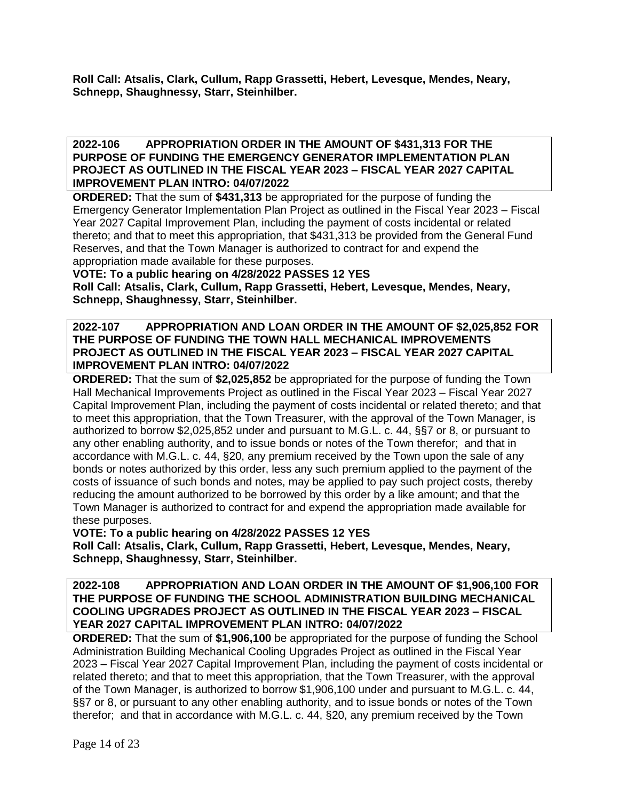**Roll Call: Atsalis, Clark, Cullum, Rapp Grassetti, Hebert, Levesque, Mendes, Neary, Schnepp, Shaughnessy, Starr, Steinhilber.**

**2022-106 APPROPRIATION ORDER IN THE AMOUNT OF \$431,313 FOR THE PURPOSE OF FUNDING THE EMERGENCY GENERATOR IMPLEMENTATION PLAN PROJECT AS OUTLINED IN THE FISCAL YEAR 2023 – FISCAL YEAR 2027 CAPITAL IMPROVEMENT PLAN INTRO: 04/07/2022**

**ORDERED:** That the sum of **\$431,313** be appropriated for the purpose of funding the Emergency Generator Implementation Plan Project as outlined in the Fiscal Year 2023 – Fiscal Year 2027 Capital Improvement Plan, including the payment of costs incidental or related thereto; and that to meet this appropriation, that \$431,313 be provided from the General Fund Reserves, and that the Town Manager is authorized to contract for and expend the appropriation made available for these purposes.

**VOTE: To a public hearing on 4/28/2022 PASSES 12 YES**

**Roll Call: Atsalis, Clark, Cullum, Rapp Grassetti, Hebert, Levesque, Mendes, Neary, Schnepp, Shaughnessy, Starr, Steinhilber.**

## **2022-107 APPROPRIATION AND LOAN ORDER IN THE AMOUNT OF \$2,025,852 FOR THE PURPOSE OF FUNDING THE TOWN HALL MECHANICAL IMPROVEMENTS PROJECT AS OUTLINED IN THE FISCAL YEAR 2023 – FISCAL YEAR 2027 CAPITAL IMPROVEMENT PLAN INTRO: 04/07/2022**

**ORDERED:** That the sum of **\$2,025,852** be appropriated for the purpose of funding the Town Hall Mechanical Improvements Project as outlined in the Fiscal Year 2023 – Fiscal Year 2027 Capital Improvement Plan, including the payment of costs incidental or related thereto; and that to meet this appropriation, that the Town Treasurer, with the approval of the Town Manager, is authorized to borrow \$2,025,852 under and pursuant to M.G.L. c. 44, §§7 or 8, or pursuant to any other enabling authority, and to issue bonds or notes of the Town therefor; and that in accordance with M.G.L. c. 44, §20, any premium received by the Town upon the sale of any bonds or notes authorized by this order, less any such premium applied to the payment of the costs of issuance of such bonds and notes, may be applied to pay such project costs, thereby reducing the amount authorized to be borrowed by this order by a like amount; and that the Town Manager is authorized to contract for and expend the appropriation made available for these purposes.

**VOTE: To a public hearing on 4/28/2022 PASSES 12 YES Roll Call: Atsalis, Clark, Cullum, Rapp Grassetti, Hebert, Levesque, Mendes, Neary, Schnepp, Shaughnessy, Starr, Steinhilber.**

## **2022-108 APPROPRIATION AND LOAN ORDER IN THE AMOUNT OF \$1,906,100 FOR THE PURPOSE OF FUNDING THE SCHOOL ADMINISTRATION BUILDING MECHANICAL COOLING UPGRADES PROJECT AS OUTLINED IN THE FISCAL YEAR 2023 – FISCAL YEAR 2027 CAPITAL IMPROVEMENT PLAN INTRO: 04/07/2022**

**ORDERED:** That the sum of **\$1,906,100** be appropriated for the purpose of funding the School Administration Building Mechanical Cooling Upgrades Project as outlined in the Fiscal Year 2023 – Fiscal Year 2027 Capital Improvement Plan, including the payment of costs incidental or related thereto; and that to meet this appropriation, that the Town Treasurer, with the approval of the Town Manager, is authorized to borrow \$1,906,100 under and pursuant to M.G.L. c. 44, §§7 or 8, or pursuant to any other enabling authority, and to issue bonds or notes of the Town therefor; and that in accordance with M.G.L. c. 44, §20, any premium received by the Town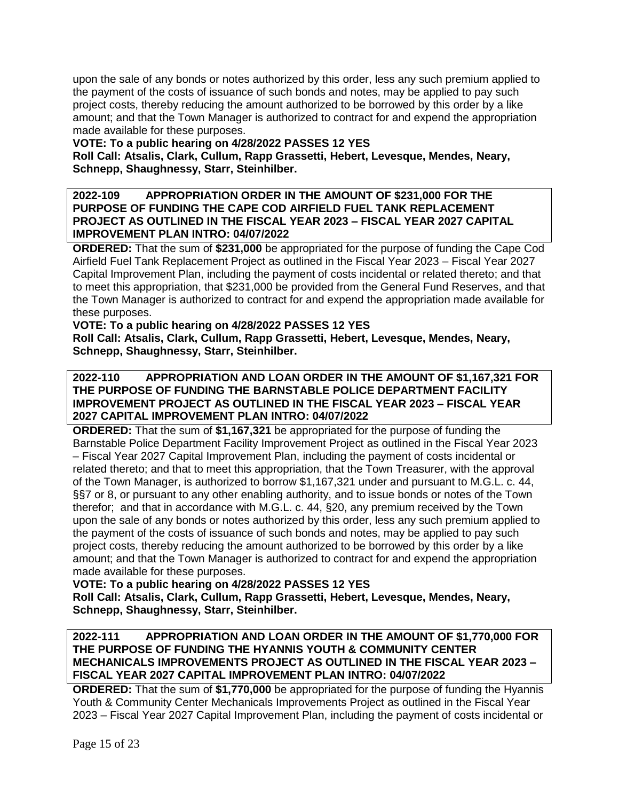upon the sale of any bonds or notes authorized by this order, less any such premium applied to the payment of the costs of issuance of such bonds and notes, may be applied to pay such project costs, thereby reducing the amount authorized to be borrowed by this order by a like amount; and that the Town Manager is authorized to contract for and expend the appropriation made available for these purposes.

# **VOTE: To a public hearing on 4/28/2022 PASSES 12 YES**

**Roll Call: Atsalis, Clark, Cullum, Rapp Grassetti, Hebert, Levesque, Mendes, Neary, Schnepp, Shaughnessy, Starr, Steinhilber.**

### **2022-109 APPROPRIATION ORDER IN THE AMOUNT OF \$231,000 FOR THE PURPOSE OF FUNDING THE CAPE COD AIRFIELD FUEL TANK REPLACEMENT PROJECT AS OUTLINED IN THE FISCAL YEAR 2023 – FISCAL YEAR 2027 CAPITAL IMPROVEMENT PLAN INTRO: 04/07/2022**

**ORDERED:** That the sum of **\$231,000** be appropriated for the purpose of funding the Cape Cod Airfield Fuel Tank Replacement Project as outlined in the Fiscal Year 2023 – Fiscal Year 2027 Capital Improvement Plan, including the payment of costs incidental or related thereto; and that to meet this appropriation, that \$231,000 be provided from the General Fund Reserves, and that the Town Manager is authorized to contract for and expend the appropriation made available for these purposes.

**VOTE: To a public hearing on 4/28/2022 PASSES 12 YES Roll Call: Atsalis, Clark, Cullum, Rapp Grassetti, Hebert, Levesque, Mendes, Neary, Schnepp, Shaughnessy, Starr, Steinhilber.**

# **2022-110 APPROPRIATION AND LOAN ORDER IN THE AMOUNT OF \$1,167,321 FOR THE PURPOSE OF FUNDING THE BARNSTABLE POLICE DEPARTMENT FACILITY IMPROVEMENT PROJECT AS OUTLINED IN THE FISCAL YEAR 2023 – FISCAL YEAR 2027 CAPITAL IMPROVEMENT PLAN INTRO: 04/07/2022**

**ORDERED:** That the sum of **\$1,167,321** be appropriated for the purpose of funding the Barnstable Police Department Facility Improvement Project as outlined in the Fiscal Year 2023 – Fiscal Year 2027 Capital Improvement Plan, including the payment of costs incidental or related thereto; and that to meet this appropriation, that the Town Treasurer, with the approval of the Town Manager, is authorized to borrow \$1,167,321 under and pursuant to M.G.L. c. 44, §§7 or 8, or pursuant to any other enabling authority, and to issue bonds or notes of the Town therefor; and that in accordance with M.G.L. c. 44, §20, any premium received by the Town upon the sale of any bonds or notes authorized by this order, less any such premium applied to the payment of the costs of issuance of such bonds and notes, may be applied to pay such project costs, thereby reducing the amount authorized to be borrowed by this order by a like amount; and that the Town Manager is authorized to contract for and expend the appropriation made available for these purposes.

# **VOTE: To a public hearing on 4/28/2022 PASSES 12 YES**

**Roll Call: Atsalis, Clark, Cullum, Rapp Grassetti, Hebert, Levesque, Mendes, Neary, Schnepp, Shaughnessy, Starr, Steinhilber.**

### **2022-111 APPROPRIATION AND LOAN ORDER IN THE AMOUNT OF \$1,770,000 FOR THE PURPOSE OF FUNDING THE HYANNIS YOUTH & COMMUNITY CENTER MECHANICALS IMPROVEMENTS PROJECT AS OUTLINED IN THE FISCAL YEAR 2023 – FISCAL YEAR 2027 CAPITAL IMPROVEMENT PLAN INTRO: 04/07/2022**

**ORDERED:** That the sum of **\$1,770,000** be appropriated for the purpose of funding the Hyannis Youth & Community Center Mechanicals Improvements Project as outlined in the Fiscal Year 2023 – Fiscal Year 2027 Capital Improvement Plan, including the payment of costs incidental or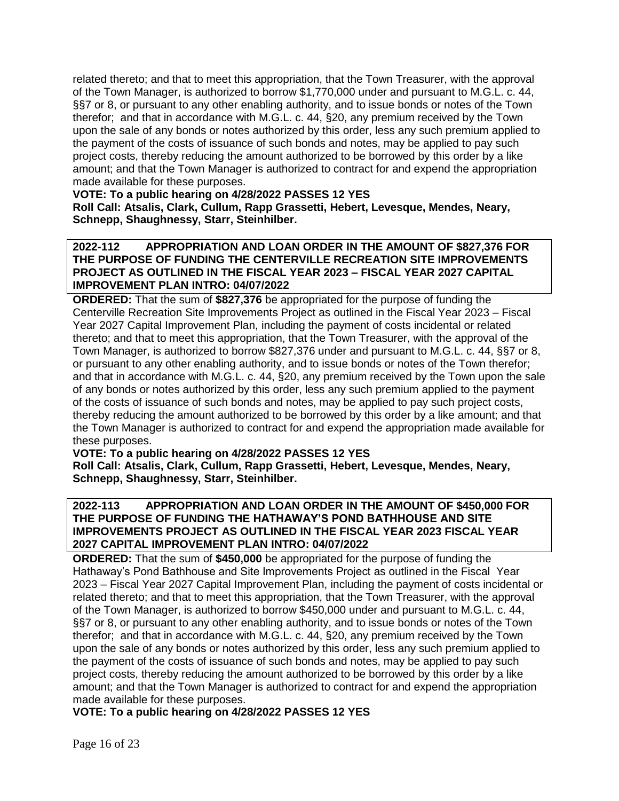related thereto; and that to meet this appropriation, that the Town Treasurer, with the approval of the Town Manager, is authorized to borrow \$1,770,000 under and pursuant to M.G.L. c. 44, §§7 or 8, or pursuant to any other enabling authority, and to issue bonds or notes of the Town therefor; and that in accordance with M.G.L. c. 44, §20, any premium received by the Town upon the sale of any bonds or notes authorized by this order, less any such premium applied to the payment of the costs of issuance of such bonds and notes, may be applied to pay such project costs, thereby reducing the amount authorized to be borrowed by this order by a like amount; and that the Town Manager is authorized to contract for and expend the appropriation made available for these purposes.

## **VOTE: To a public hearing on 4/28/2022 PASSES 12 YES**

**Roll Call: Atsalis, Clark, Cullum, Rapp Grassetti, Hebert, Levesque, Mendes, Neary, Schnepp, Shaughnessy, Starr, Steinhilber.**

## **2022-112 APPROPRIATION AND LOAN ORDER IN THE AMOUNT OF \$827,376 FOR THE PURPOSE OF FUNDING THE CENTERVILLE RECREATION SITE IMPROVEMENTS PROJECT AS OUTLINED IN THE FISCAL YEAR 2023 – FISCAL YEAR 2027 CAPITAL IMPROVEMENT PLAN INTRO: 04/07/2022**

**ORDERED:** That the sum of **\$827,376** be appropriated for the purpose of funding the Centerville Recreation Site Improvements Project as outlined in the Fiscal Year 2023 – Fiscal Year 2027 Capital Improvement Plan, including the payment of costs incidental or related thereto; and that to meet this appropriation, that the Town Treasurer, with the approval of the Town Manager, is authorized to borrow \$827,376 under and pursuant to M.G.L. c. 44, §§7 or 8, or pursuant to any other enabling authority, and to issue bonds or notes of the Town therefor; and that in accordance with M.G.L. c. 44, §20, any premium received by the Town upon the sale of any bonds or notes authorized by this order, less any such premium applied to the payment of the costs of issuance of such bonds and notes, may be applied to pay such project costs, thereby reducing the amount authorized to be borrowed by this order by a like amount; and that the Town Manager is authorized to contract for and expend the appropriation made available for these purposes.

### **VOTE: To a public hearing on 4/28/2022 PASSES 12 YES Roll Call: Atsalis, Clark, Cullum, Rapp Grassetti, Hebert, Levesque, Mendes, Neary, Schnepp, Shaughnessy, Starr, Steinhilber.**

## **2022-113 APPROPRIATION AND LOAN ORDER IN THE AMOUNT OF \$450,000 FOR THE PURPOSE OF FUNDING THE HATHAWAY'S POND BATHHOUSE AND SITE IMPROVEMENTS PROJECT AS OUTLINED IN THE FISCAL YEAR 2023 FISCAL YEAR 2027 CAPITAL IMPROVEMENT PLAN INTRO: 04/07/2022**

**ORDERED:** That the sum of **\$450,000** be appropriated for the purpose of funding the Hathaway's Pond Bathhouse and Site Improvements Project as outlined in the Fiscal Year 2023 – Fiscal Year 2027 Capital Improvement Plan, including the payment of costs incidental or related thereto; and that to meet this appropriation, that the Town Treasurer, with the approval of the Town Manager, is authorized to borrow \$450,000 under and pursuant to M.G.L. c. 44, §§7 or 8, or pursuant to any other enabling authority, and to issue bonds or notes of the Town therefor; and that in accordance with M.G.L. c. 44, §20, any premium received by the Town upon the sale of any bonds or notes authorized by this order, less any such premium applied to the payment of the costs of issuance of such bonds and notes, may be applied to pay such project costs, thereby reducing the amount authorized to be borrowed by this order by a like amount; and that the Town Manager is authorized to contract for and expend the appropriation made available for these purposes.

**VOTE: To a public hearing on 4/28/2022 PASSES 12 YES**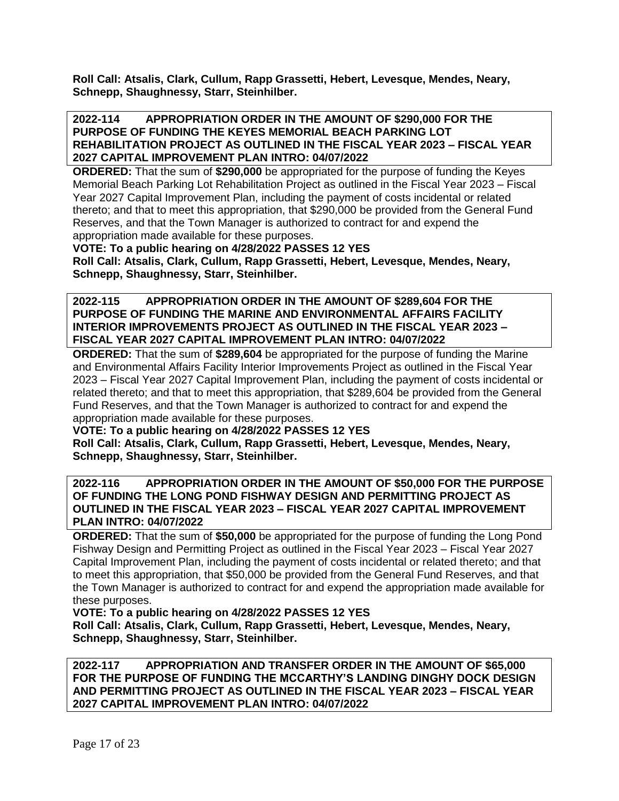**Roll Call: Atsalis, Clark, Cullum, Rapp Grassetti, Hebert, Levesque, Mendes, Neary, Schnepp, Shaughnessy, Starr, Steinhilber.**

### **2022-114 APPROPRIATION ORDER IN THE AMOUNT OF \$290,000 FOR THE PURPOSE OF FUNDING THE KEYES MEMORIAL BEACH PARKING LOT REHABILITATION PROJECT AS OUTLINED IN THE FISCAL YEAR 2023 – FISCAL YEAR 2027 CAPITAL IMPROVEMENT PLAN INTRO: 04/07/2022**

**ORDERED:** That the sum of **\$290,000** be appropriated for the purpose of funding the Keyes Memorial Beach Parking Lot Rehabilitation Project as outlined in the Fiscal Year 2023 – Fiscal Year 2027 Capital Improvement Plan, including the payment of costs incidental or related thereto; and that to meet this appropriation, that \$290,000 be provided from the General Fund Reserves, and that the Town Manager is authorized to contract for and expend the appropriation made available for these purposes.

**VOTE: To a public hearing on 4/28/2022 PASSES 12 YES**

**Roll Call: Atsalis, Clark, Cullum, Rapp Grassetti, Hebert, Levesque, Mendes, Neary, Schnepp, Shaughnessy, Starr, Steinhilber.**

**2022-115 APPROPRIATION ORDER IN THE AMOUNT OF \$289,604 FOR THE PURPOSE OF FUNDING THE MARINE AND ENVIRONMENTAL AFFAIRS FACILITY INTERIOR IMPROVEMENTS PROJECT AS OUTLINED IN THE FISCAL YEAR 2023 – FISCAL YEAR 2027 CAPITAL IMPROVEMENT PLAN INTRO: 04/07/2022**

**ORDERED:** That the sum of **\$289,604** be appropriated for the purpose of funding the Marine and Environmental Affairs Facility Interior Improvements Project as outlined in the Fiscal Year 2023 – Fiscal Year 2027 Capital Improvement Plan, including the payment of costs incidental or related thereto; and that to meet this appropriation, that \$289,604 be provided from the General Fund Reserves, and that the Town Manager is authorized to contract for and expend the appropriation made available for these purposes.

**VOTE: To a public hearing on 4/28/2022 PASSES 12 YES**

**Roll Call: Atsalis, Clark, Cullum, Rapp Grassetti, Hebert, Levesque, Mendes, Neary, Schnepp, Shaughnessy, Starr, Steinhilber.**

**2022-116 APPROPRIATION ORDER IN THE AMOUNT OF \$50,000 FOR THE PURPOSE OF FUNDING THE LONG POND FISHWAY DESIGN AND PERMITTING PROJECT AS OUTLINED IN THE FISCAL YEAR 2023 – FISCAL YEAR 2027 CAPITAL IMPROVEMENT PLAN INTRO: 04/07/2022**

**ORDERED:** That the sum of **\$50,000** be appropriated for the purpose of funding the Long Pond Fishway Design and Permitting Project as outlined in the Fiscal Year 2023 – Fiscal Year 2027 Capital Improvement Plan, including the payment of costs incidental or related thereto; and that to meet this appropriation, that \$50,000 be provided from the General Fund Reserves, and that the Town Manager is authorized to contract for and expend the appropriation made available for these purposes.

**VOTE: To a public hearing on 4/28/2022 PASSES 12 YES**

**Roll Call: Atsalis, Clark, Cullum, Rapp Grassetti, Hebert, Levesque, Mendes, Neary, Schnepp, Shaughnessy, Starr, Steinhilber.**

**2022-117 APPROPRIATION AND TRANSFER ORDER IN THE AMOUNT OF \$65,000 FOR THE PURPOSE OF FUNDING THE MCCARTHY'S LANDING DINGHY DOCK DESIGN AND PERMITTING PROJECT AS OUTLINED IN THE FISCAL YEAR 2023 – FISCAL YEAR 2027 CAPITAL IMPROVEMENT PLAN INTRO: 04/07/2022**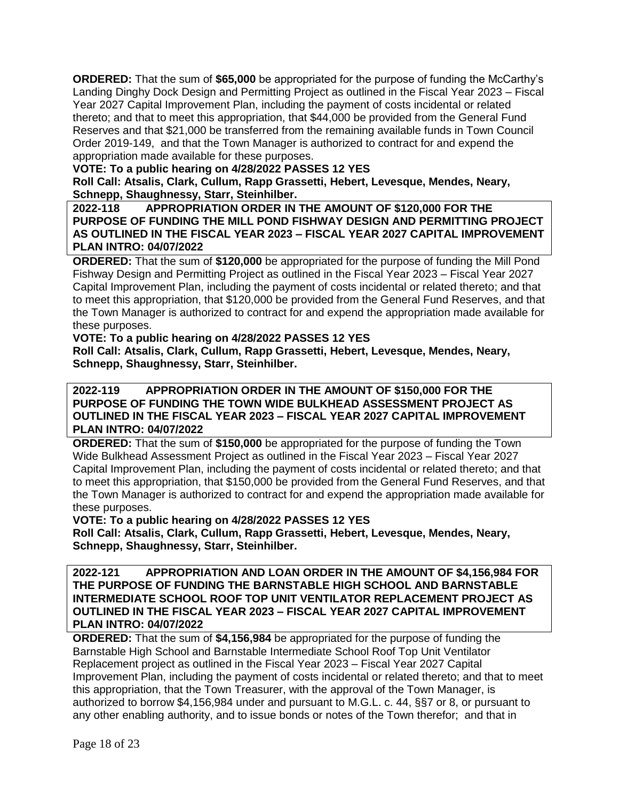**ORDERED:** That the sum of **\$65,000** be appropriated for the purpose of funding the McCarthy's Landing Dinghy Dock Design and Permitting Project as outlined in the Fiscal Year 2023 – Fiscal Year 2027 Capital Improvement Plan, including the payment of costs incidental or related thereto; and that to meet this appropriation, that \$44,000 be provided from the General Fund Reserves and that \$21,000 be transferred from the remaining available funds in Town Council Order 2019-149, and that the Town Manager is authorized to contract for and expend the appropriation made available for these purposes.

**VOTE: To a public hearing on 4/28/2022 PASSES 12 YES**

**Roll Call: Atsalis, Clark, Cullum, Rapp Grassetti, Hebert, Levesque, Mendes, Neary, Schnepp, Shaughnessy, Starr, Steinhilber.**

**2022-118 APPROPRIATION ORDER IN THE AMOUNT OF \$120,000 FOR THE PURPOSE OF FUNDING THE MILL POND FISHWAY DESIGN AND PERMITTING PROJECT AS OUTLINED IN THE FISCAL YEAR 2023 – FISCAL YEAR 2027 CAPITAL IMPROVEMENT PLAN INTRO: 04/07/2022**

**ORDERED:** That the sum of **\$120,000** be appropriated for the purpose of funding the Mill Pond Fishway Design and Permitting Project as outlined in the Fiscal Year 2023 – Fiscal Year 2027 Capital Improvement Plan, including the payment of costs incidental or related thereto; and that to meet this appropriation, that \$120,000 be provided from the General Fund Reserves, and that the Town Manager is authorized to contract for and expend the appropriation made available for these purposes.

### **VOTE: To a public hearing on 4/28/2022 PASSES 12 YES**

**Roll Call: Atsalis, Clark, Cullum, Rapp Grassetti, Hebert, Levesque, Mendes, Neary, Schnepp, Shaughnessy, Starr, Steinhilber.**

### **2022-119 APPROPRIATION ORDER IN THE AMOUNT OF \$150,000 FOR THE PURPOSE OF FUNDING THE TOWN WIDE BULKHEAD ASSESSMENT PROJECT AS OUTLINED IN THE FISCAL YEAR 2023 – FISCAL YEAR 2027 CAPITAL IMPROVEMENT PLAN INTRO: 04/07/2022**

**ORDERED:** That the sum of **\$150,000** be appropriated for the purpose of funding the Town Wide Bulkhead Assessment Project as outlined in the Fiscal Year 2023 – Fiscal Year 2027 Capital Improvement Plan, including the payment of costs incidental or related thereto; and that to meet this appropriation, that \$150,000 be provided from the General Fund Reserves, and that the Town Manager is authorized to contract for and expend the appropriation made available for these purposes.

**VOTE: To a public hearing on 4/28/2022 PASSES 12 YES**

**Roll Call: Atsalis, Clark, Cullum, Rapp Grassetti, Hebert, Levesque, Mendes, Neary, Schnepp, Shaughnessy, Starr, Steinhilber.**

**2022-121 APPROPRIATION AND LOAN ORDER IN THE AMOUNT OF \$4,156,984 FOR THE PURPOSE OF FUNDING THE BARNSTABLE HIGH SCHOOL AND BARNSTABLE INTERMEDIATE SCHOOL ROOF TOP UNIT VENTILATOR REPLACEMENT PROJECT AS OUTLINED IN THE FISCAL YEAR 2023 – FISCAL YEAR 2027 CAPITAL IMPROVEMENT PLAN INTRO: 04/07/2022**

**ORDERED:** That the sum of **\$4,156,984** be appropriated for the purpose of funding the Barnstable High School and Barnstable Intermediate School Roof Top Unit Ventilator Replacement project as outlined in the Fiscal Year 2023 – Fiscal Year 2027 Capital Improvement Plan, including the payment of costs incidental or related thereto; and that to meet this appropriation, that the Town Treasurer, with the approval of the Town Manager, is authorized to borrow \$4,156,984 under and pursuant to M.G.L. c. 44, §§7 or 8, or pursuant to any other enabling authority, and to issue bonds or notes of the Town therefor; and that in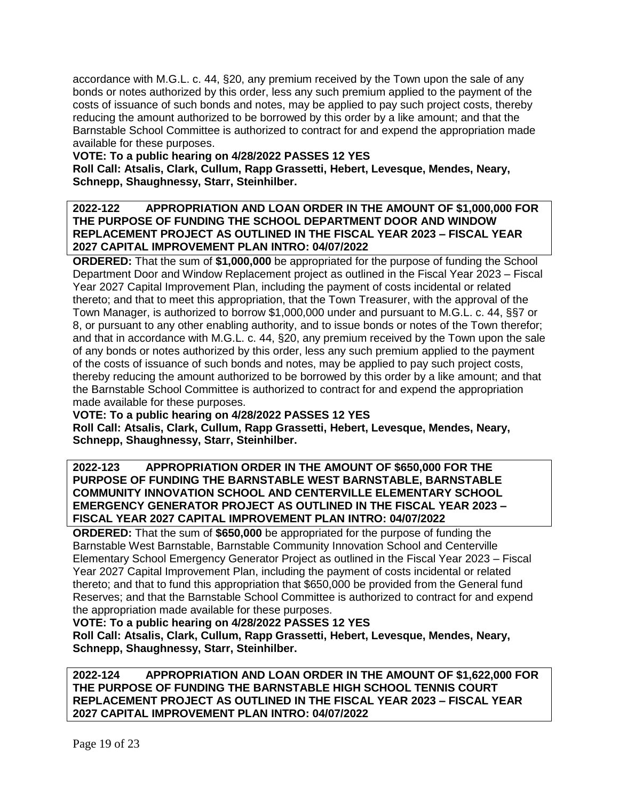accordance with M.G.L. c. 44, §20, any premium received by the Town upon the sale of any bonds or notes authorized by this order, less any such premium applied to the payment of the costs of issuance of such bonds and notes, may be applied to pay such project costs, thereby reducing the amount authorized to be borrowed by this order by a like amount; and that the Barnstable School Committee is authorized to contract for and expend the appropriation made available for these purposes.

# **VOTE: To a public hearing on 4/28/2022 PASSES 12 YES**

**Roll Call: Atsalis, Clark, Cullum, Rapp Grassetti, Hebert, Levesque, Mendes, Neary, Schnepp, Shaughnessy, Starr, Steinhilber.**

## **2022-122 APPROPRIATION AND LOAN ORDER IN THE AMOUNT OF \$1,000,000 FOR THE PURPOSE OF FUNDING THE SCHOOL DEPARTMENT DOOR AND WINDOW REPLACEMENT PROJECT AS OUTLINED IN THE FISCAL YEAR 2023 – FISCAL YEAR 2027 CAPITAL IMPROVEMENT PLAN INTRO: 04/07/2022**

**ORDERED:** That the sum of **\$1,000,000** be appropriated for the purpose of funding the School Department Door and Window Replacement project as outlined in the Fiscal Year 2023 – Fiscal Year 2027 Capital Improvement Plan, including the payment of costs incidental or related thereto; and that to meet this appropriation, that the Town Treasurer, with the approval of the Town Manager, is authorized to borrow \$1,000,000 under and pursuant to M.G.L. c. 44, §§7 or 8, or pursuant to any other enabling authority, and to issue bonds or notes of the Town therefor; and that in accordance with M.G.L. c. 44, §20, any premium received by the Town upon the sale of any bonds or notes authorized by this order, less any such premium applied to the payment of the costs of issuance of such bonds and notes, may be applied to pay such project costs, thereby reducing the amount authorized to be borrowed by this order by a like amount; and that the Barnstable School Committee is authorized to contract for and expend the appropriation made available for these purposes.

# **VOTE: To a public hearing on 4/28/2022 PASSES 12 YES**

**Roll Call: Atsalis, Clark, Cullum, Rapp Grassetti, Hebert, Levesque, Mendes, Neary, Schnepp, Shaughnessy, Starr, Steinhilber.**

## **2022-123 APPROPRIATION ORDER IN THE AMOUNT OF \$650,000 FOR THE PURPOSE OF FUNDING THE BARNSTABLE WEST BARNSTABLE, BARNSTABLE COMMUNITY INNOVATION SCHOOL AND CENTERVILLE ELEMENTARY SCHOOL EMERGENCY GENERATOR PROJECT AS OUTLINED IN THE FISCAL YEAR 2023 – FISCAL YEAR 2027 CAPITAL IMPROVEMENT PLAN INTRO: 04/07/2022**

**ORDERED:** That the sum of **\$650,000** be appropriated for the purpose of funding the Barnstable West Barnstable, Barnstable Community Innovation School and Centerville Elementary School Emergency Generator Project as outlined in the Fiscal Year 2023 – Fiscal Year 2027 Capital Improvement Plan, including the payment of costs incidental or related thereto; and that to fund this appropriation that \$650,000 be provided from the General fund Reserves; and that the Barnstable School Committee is authorized to contract for and expend the appropriation made available for these purposes.

# **VOTE: To a public hearing on 4/28/2022 PASSES 12 YES**

**Roll Call: Atsalis, Clark, Cullum, Rapp Grassetti, Hebert, Levesque, Mendes, Neary, Schnepp, Shaughnessy, Starr, Steinhilber.**

**2022-124 APPROPRIATION AND LOAN ORDER IN THE AMOUNT OF \$1,622,000 FOR THE PURPOSE OF FUNDING THE BARNSTABLE HIGH SCHOOL TENNIS COURT REPLACEMENT PROJECT AS OUTLINED IN THE FISCAL YEAR 2023 – FISCAL YEAR 2027 CAPITAL IMPROVEMENT PLAN INTRO: 04/07/2022**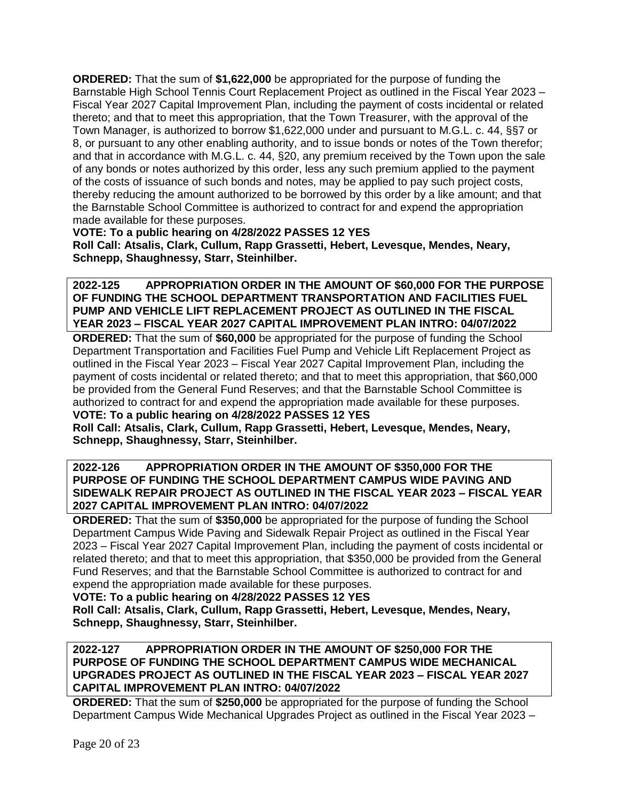**ORDERED:** That the sum of **\$1,622,000** be appropriated for the purpose of funding the Barnstable High School Tennis Court Replacement Project as outlined in the Fiscal Year 2023 – Fiscal Year 2027 Capital Improvement Plan, including the payment of costs incidental or related thereto; and that to meet this appropriation, that the Town Treasurer, with the approval of the Town Manager, is authorized to borrow \$1,622,000 under and pursuant to M.G.L. c. 44, §§7 or 8, or pursuant to any other enabling authority, and to issue bonds or notes of the Town therefor; and that in accordance with M.G.L. c. 44, §20, any premium received by the Town upon the sale of any bonds or notes authorized by this order, less any such premium applied to the payment of the costs of issuance of such bonds and notes, may be applied to pay such project costs, thereby reducing the amount authorized to be borrowed by this order by a like amount; and that the Barnstable School Committee is authorized to contract for and expend the appropriation made available for these purposes.

**VOTE: To a public hearing on 4/28/2022 PASSES 12 YES Roll Call: Atsalis, Clark, Cullum, Rapp Grassetti, Hebert, Levesque, Mendes, Neary, Schnepp, Shaughnessy, Starr, Steinhilber.**

**2022-125 APPROPRIATION ORDER IN THE AMOUNT OF \$60,000 FOR THE PURPOSE OF FUNDING THE SCHOOL DEPARTMENT TRANSPORTATION AND FACILITIES FUEL PUMP AND VEHICLE LIFT REPLACEMENT PROJECT AS OUTLINED IN THE FISCAL YEAR 2023 – FISCAL YEAR 2027 CAPITAL IMPROVEMENT PLAN INTRO: 04/07/2022**

**ORDERED:** That the sum of **\$60,000** be appropriated for the purpose of funding the School Department Transportation and Facilities Fuel Pump and Vehicle Lift Replacement Project as outlined in the Fiscal Year 2023 – Fiscal Year 2027 Capital Improvement Plan, including the payment of costs incidental or related thereto; and that to meet this appropriation, that \$60,000 be provided from the General Fund Reserves; and that the Barnstable School Committee is authorized to contract for and expend the appropriation made available for these purposes. **VOTE: To a public hearing on 4/28/2022 PASSES 12 YES**

**Roll Call: Atsalis, Clark, Cullum, Rapp Grassetti, Hebert, Levesque, Mendes, Neary, Schnepp, Shaughnessy, Starr, Steinhilber.**

## **2022-126 APPROPRIATION ORDER IN THE AMOUNT OF \$350,000 FOR THE PURPOSE OF FUNDING THE SCHOOL DEPARTMENT CAMPUS WIDE PAVING AND SIDEWALK REPAIR PROJECT AS OUTLINED IN THE FISCAL YEAR 2023 – FISCAL YEAR 2027 CAPITAL IMPROVEMENT PLAN INTRO: 04/07/2022**

**ORDERED:** That the sum of **\$350,000** be appropriated for the purpose of funding the School Department Campus Wide Paving and Sidewalk Repair Project as outlined in the Fiscal Year 2023 – Fiscal Year 2027 Capital Improvement Plan, including the payment of costs incidental or related thereto; and that to meet this appropriation, that \$350,000 be provided from the General Fund Reserves; and that the Barnstable School Committee is authorized to contract for and expend the appropriation made available for these purposes.

**VOTE: To a public hearing on 4/28/2022 PASSES 12 YES**

**Roll Call: Atsalis, Clark, Cullum, Rapp Grassetti, Hebert, Levesque, Mendes, Neary, Schnepp, Shaughnessy, Starr, Steinhilber.**

### **2022-127 APPROPRIATION ORDER IN THE AMOUNT OF \$250,000 FOR THE PURPOSE OF FUNDING THE SCHOOL DEPARTMENT CAMPUS WIDE MECHANICAL UPGRADES PROJECT AS OUTLINED IN THE FISCAL YEAR 2023 – FISCAL YEAR 2027 CAPITAL IMPROVEMENT PLAN INTRO: 04/07/2022**

**ORDERED:** That the sum of **\$250,000** be appropriated for the purpose of funding the School Department Campus Wide Mechanical Upgrades Project as outlined in the Fiscal Year 2023 –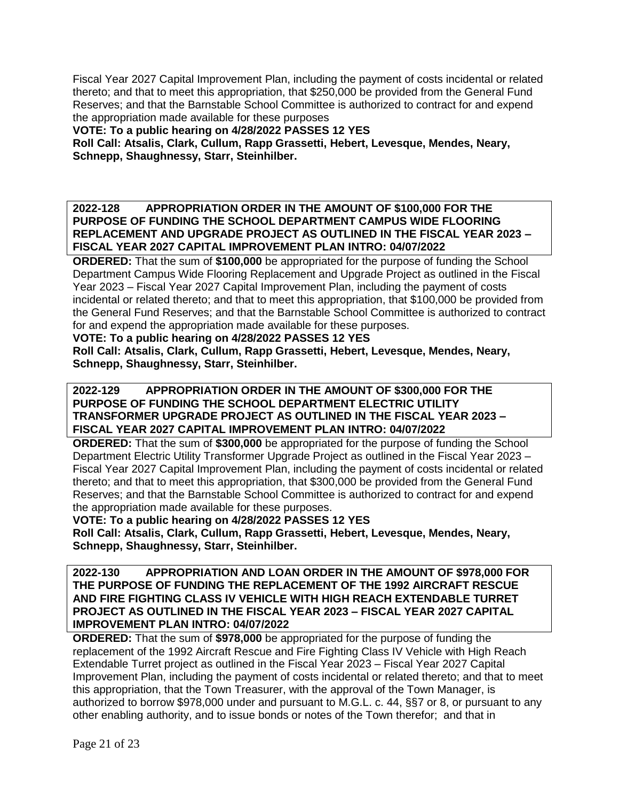Fiscal Year 2027 Capital Improvement Plan, including the payment of costs incidental or related thereto; and that to meet this appropriation, that \$250,000 be provided from the General Fund Reserves; and that the Barnstable School Committee is authorized to contract for and expend the appropriation made available for these purposes

**VOTE: To a public hearing on 4/28/2022 PASSES 12 YES**

**Roll Call: Atsalis, Clark, Cullum, Rapp Grassetti, Hebert, Levesque, Mendes, Neary, Schnepp, Shaughnessy, Starr, Steinhilber.**

**2022-128 APPROPRIATION ORDER IN THE AMOUNT OF \$100,000 FOR THE PURPOSE OF FUNDING THE SCHOOL DEPARTMENT CAMPUS WIDE FLOORING REPLACEMENT AND UPGRADE PROJECT AS OUTLINED IN THE FISCAL YEAR 2023 – FISCAL YEAR 2027 CAPITAL IMPROVEMENT PLAN INTRO: 04/07/2022**

**ORDERED:** That the sum of **\$100,000** be appropriated for the purpose of funding the School Department Campus Wide Flooring Replacement and Upgrade Project as outlined in the Fiscal Year 2023 – Fiscal Year 2027 Capital Improvement Plan, including the payment of costs incidental or related thereto; and that to meet this appropriation, that \$100,000 be provided from the General Fund Reserves; and that the Barnstable School Committee is authorized to contract for and expend the appropriation made available for these purposes.

**VOTE: To a public hearing on 4/28/2022 PASSES 12 YES**

**Roll Call: Atsalis, Clark, Cullum, Rapp Grassetti, Hebert, Levesque, Mendes, Neary, Schnepp, Shaughnessy, Starr, Steinhilber.**

## **2022-129 APPROPRIATION ORDER IN THE AMOUNT OF \$300,000 FOR THE PURPOSE OF FUNDING THE SCHOOL DEPARTMENT ELECTRIC UTILITY TRANSFORMER UPGRADE PROJECT AS OUTLINED IN THE FISCAL YEAR 2023 – FISCAL YEAR 2027 CAPITAL IMPROVEMENT PLAN INTRO: 04/07/2022**

**ORDERED:** That the sum of **\$300,000** be appropriated for the purpose of funding the School Department Electric Utility Transformer Upgrade Project as outlined in the Fiscal Year 2023 – Fiscal Year 2027 Capital Improvement Plan, including the payment of costs incidental or related thereto; and that to meet this appropriation, that \$300,000 be provided from the General Fund Reserves; and that the Barnstable School Committee is authorized to contract for and expend the appropriation made available for these purposes.

**VOTE: To a public hearing on 4/28/2022 PASSES 12 YES**

**Roll Call: Atsalis, Clark, Cullum, Rapp Grassetti, Hebert, Levesque, Mendes, Neary, Schnepp, Shaughnessy, Starr, Steinhilber.**

**2022-130 APPROPRIATION AND LOAN ORDER IN THE AMOUNT OF \$978,000 FOR THE PURPOSE OF FUNDING THE REPLACEMENT OF THE 1992 AIRCRAFT RESCUE AND FIRE FIGHTING CLASS IV VEHICLE WITH HIGH REACH EXTENDABLE TURRET PROJECT AS OUTLINED IN THE FISCAL YEAR 2023 – FISCAL YEAR 2027 CAPITAL IMPROVEMENT PLAN INTRO: 04/07/2022**

**ORDERED:** That the sum of **\$978,000** be appropriated for the purpose of funding the replacement of the 1992 Aircraft Rescue and Fire Fighting Class IV Vehicle with High Reach Extendable Turret project as outlined in the Fiscal Year 2023 – Fiscal Year 2027 Capital Improvement Plan, including the payment of costs incidental or related thereto; and that to meet this appropriation, that the Town Treasurer, with the approval of the Town Manager, is authorized to borrow \$978,000 under and pursuant to M.G.L. c. 44, §§7 or 8, or pursuant to any other enabling authority, and to issue bonds or notes of the Town therefor; and that in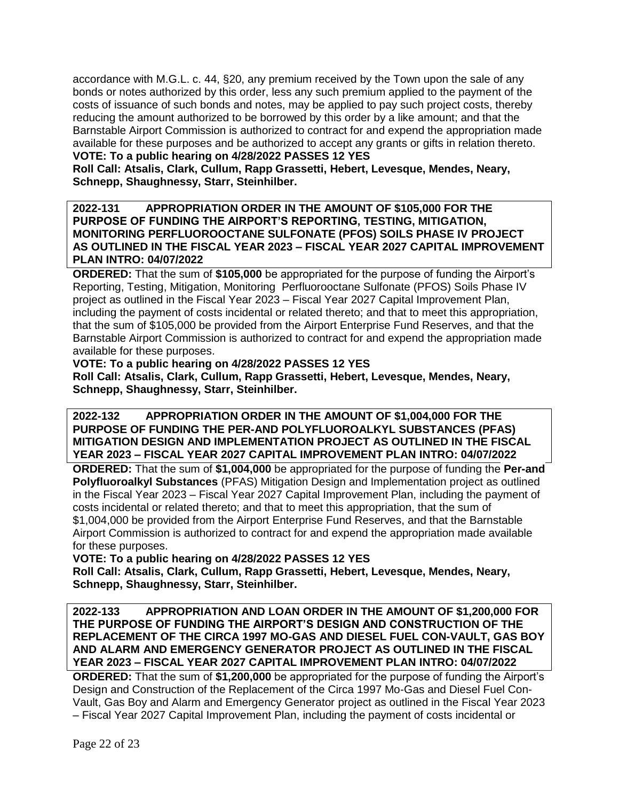accordance with M.G.L. c. 44, §20, any premium received by the Town upon the sale of any bonds or notes authorized by this order, less any such premium applied to the payment of the costs of issuance of such bonds and notes, may be applied to pay such project costs, thereby reducing the amount authorized to be borrowed by this order by a like amount; and that the Barnstable Airport Commission is authorized to contract for and expend the appropriation made available for these purposes and be authorized to accept any grants or gifts in relation thereto.

# **VOTE: To a public hearing on 4/28/2022 PASSES 12 YES**

**Roll Call: Atsalis, Clark, Cullum, Rapp Grassetti, Hebert, Levesque, Mendes, Neary, Schnepp, Shaughnessy, Starr, Steinhilber.**

### **2022-131 APPROPRIATION ORDER IN THE AMOUNT OF \$105,000 FOR THE PURPOSE OF FUNDING THE AIRPORT'S REPORTING, TESTING, MITIGATION, MONITORING PERFLUOROOCTANE SULFONATE (PFOS) SOILS PHASE IV PROJECT AS OUTLINED IN THE FISCAL YEAR 2023 – FISCAL YEAR 2027 CAPITAL IMPROVEMENT PLAN INTRO: 04/07/2022**

**ORDERED:** That the sum of **\$105,000** be appropriated for the purpose of funding the Airport's Reporting, Testing, Mitigation, Monitoring Perfluorooctane Sulfonate (PFOS) Soils Phase IV project as outlined in the Fiscal Year 2023 – Fiscal Year 2027 Capital Improvement Plan, including the payment of costs incidental or related thereto; and that to meet this appropriation, that the sum of \$105,000 be provided from the Airport Enterprise Fund Reserves, and that the Barnstable Airport Commission is authorized to contract for and expend the appropriation made available for these purposes.

### **VOTE: To a public hearing on 4/28/2022 PASSES 12 YES**

**Roll Call: Atsalis, Clark, Cullum, Rapp Grassetti, Hebert, Levesque, Mendes, Neary, Schnepp, Shaughnessy, Starr, Steinhilber.**

**2022-132 APPROPRIATION ORDER IN THE AMOUNT OF \$1,004,000 FOR THE PURPOSE OF FUNDING THE PER-AND POLYFLUOROALKYL SUBSTANCES (PFAS) MITIGATION DESIGN AND IMPLEMENTATION PROJECT AS OUTLINED IN THE FISCAL YEAR 2023 – FISCAL YEAR 2027 CAPITAL IMPROVEMENT PLAN INTRO: 04/07/2022**

**ORDERED:** That the sum of **\$1,004,000** be appropriated for the purpose of funding the **Per-and Polyfluoroalkyl Substances** (PFAS) Mitigation Design and Implementation project as outlined in the Fiscal Year 2023 – Fiscal Year 2027 Capital Improvement Plan, including the payment of costs incidental or related thereto; and that to meet this appropriation, that the sum of \$1,004,000 be provided from the Airport Enterprise Fund Reserves, and that the Barnstable Airport Commission is authorized to contract for and expend the appropriation made available for these purposes.

**VOTE: To a public hearing on 4/28/2022 PASSES 12 YES**

**Roll Call: Atsalis, Clark, Cullum, Rapp Grassetti, Hebert, Levesque, Mendes, Neary, Schnepp, Shaughnessy, Starr, Steinhilber.**

**2022-133 APPROPRIATION AND LOAN ORDER IN THE AMOUNT OF \$1,200,000 FOR THE PURPOSE OF FUNDING THE AIRPORT'S DESIGN AND CONSTRUCTION OF THE REPLACEMENT OF THE CIRCA 1997 MO-GAS AND DIESEL FUEL CON-VAULT, GAS BOY AND ALARM AND EMERGENCY GENERATOR PROJECT AS OUTLINED IN THE FISCAL YEAR 2023 – FISCAL YEAR 2027 CAPITAL IMPROVEMENT PLAN INTRO: 04/07/2022**

**ORDERED:** That the sum of **\$1,200,000** be appropriated for the purpose of funding the Airport's Design and Construction of the Replacement of the Circa 1997 Mo-Gas and Diesel Fuel Con-Vault, Gas Boy and Alarm and Emergency Generator project as outlined in the Fiscal Year 2023 – Fiscal Year 2027 Capital Improvement Plan, including the payment of costs incidental or